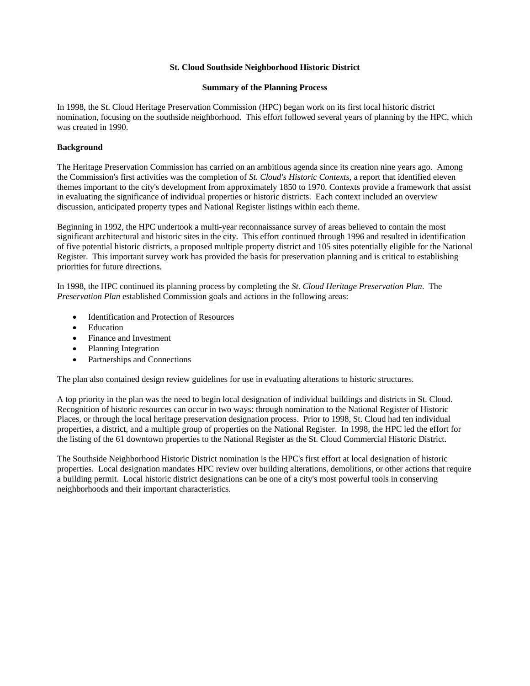### **St. Cloud Southside Neighborhood Historic District**

#### **Summary of the Planning Process**

In 1998, the St. Cloud Heritage Preservation Commission (HPC) began work on its first local historic district nomination, focusing on the southside neighborhood. This effort followed several years of planning by the HPC, which was created in 1990.

#### **Background**

The Heritage Preservation Commission has carried on an ambitious agenda since its creation nine years ago. Among the Commission's first activities was the completion of *St. Cloud's Historic Contexts*, a report that identified eleven themes important to the city's development from approximately 1850 to 1970. Contexts provide a framework that assist in evaluating the significance of individual properties or historic districts. Each context included an overview discussion, anticipated property types and National Register listings within each theme.

Beginning in 1992, the HPC undertook a multi-year reconnaissance survey of areas believed to contain the most significant architectural and historic sites in the city. This effort continued through 1996 and resulted in identification of five potential historic districts, a proposed multiple property district and 105 sites potentially eligible for the National Register. This important survey work has provided the basis for preservation planning and is critical to establishing priorities for future directions.

In 1998, the HPC continued its planning process by completing the *St. Cloud Heritage Preservation Plan*. The *Preservation Plan* established Commission goals and actions in the following areas:

- Identification and Protection of Resources
- Education
- Finance and Investment
- Planning Integration
- Partnerships and Connections

The plan also contained design review guidelines for use in evaluating alterations to historic structures.

A top priority in the plan was the need to begin local designation of individual buildings and districts in St. Cloud. Recognition of historic resources can occur in two ways: through nomination to the National Register of Historic Places, or through the local heritage preservation designation process. Prior to 1998, St. Cloud had ten individual properties, a district, and a multiple group of properties on the National Register. In 1998, the HPC led the effort for the listing of the 61 downtown properties to the National Register as the St. Cloud Commercial Historic District.

The Southside Neighborhood Historic District nomination is the HPC's first effort at local designation of historic properties. Local designation mandates HPC review over building alterations, demolitions, or other actions that require a building permit. Local historic district designations can be one of a city's most powerful tools in conserving neighborhoods and their important characteristics.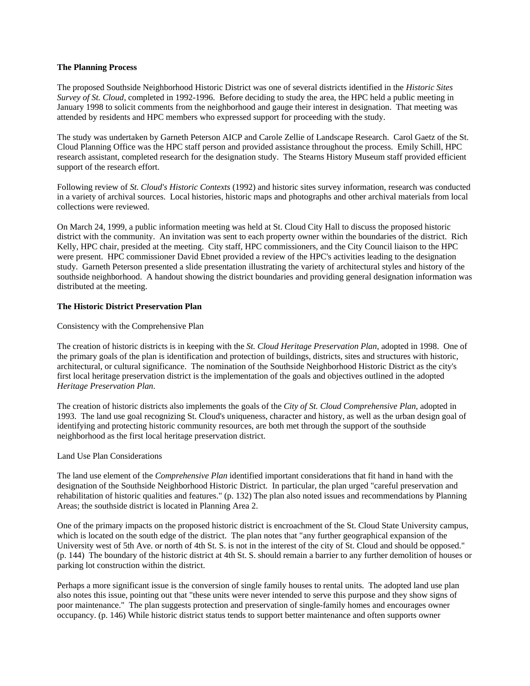#### **The Planning Process**

The proposed Southside Neighborhood Historic District was one of several districts identified in the *Historic Sites Survey of St. Cloud*, completed in 1992-1996. Before deciding to study the area, the HPC held a public meeting in January 1998 to solicit comments from the neighborhood and gauge their interest in designation. That meeting was attended by residents and HPC members who expressed support for proceeding with the study.

The study was undertaken by Garneth Peterson AICP and Carole Zellie of Landscape Research. Carol Gaetz of the St. Cloud Planning Office was the HPC staff person and provided assistance throughout the process. Emily Schill, HPC research assistant, completed research for the designation study. The Stearns History Museum staff provided efficient support of the research effort.

Following review of *St. Cloud's Historic Contexts* (1992) and historic sites survey information, research was conducted in a variety of archival sources. Local histories, historic maps and photographs and other archival materials from local collections were reviewed.

On March 24, 1999, a public information meeting was held at St. Cloud City Hall to discuss the proposed historic district with the community. An invitation was sent to each property owner within the boundaries of the district. Rich Kelly, HPC chair, presided at the meeting. City staff, HPC commissioners, and the City Council liaison to the HPC were present. HPC commissioner David Ebnet provided a review of the HPC's activities leading to the designation study. Garneth Peterson presented a slide presentation illustrating the variety of architectural styles and history of the southside neighborhood. A handout showing the district boundaries and providing general designation information was distributed at the meeting.

#### **The Historic District Preservation Plan**

Consistency with the Comprehensive Plan

The creation of historic districts is in keeping with the *St. Cloud Heritage Preservation Plan*, adopted in 1998. One of the primary goals of the plan is identification and protection of buildings, districts, sites and structures with historic, architectural, or cultural significance. The nomination of the Southside Neighborhood Historic District as the city's first local heritage preservation district is the implementation of the goals and objectives outlined in the adopted *Heritage Preservation Plan*.

The creation of historic districts also implements the goals of the *City of St. Cloud Comprehensive Plan*, adopted in 1993. The land use goal recognizing St. Cloud's uniqueness, character and history, as well as the urban design goal of identifying and protecting historic community resources, are both met through the support of the southside neighborhood as the first local heritage preservation district.

#### Land Use Plan Considerations

The land use element of the *Comprehensive Plan* identified important considerations that fit hand in hand with the designation of the Southside Neighborhood Historic District. In particular, the plan urged "careful preservation and rehabilitation of historic qualities and features." (p. 132) The plan also noted issues and recommendations by Planning Areas; the southside district is located in Planning Area 2.

One of the primary impacts on the proposed historic district is encroachment of the St. Cloud State University campus, which is located on the south edge of the district. The plan notes that "any further geographical expansion of the University west of 5th Ave. or north of 4th St. S. is not in the interest of the city of St. Cloud and should be opposed." (p. 144) The boundary of the historic district at 4th St. S. should remain a barrier to any further demolition of houses or parking lot construction within the district.

Perhaps a more significant issue is the conversion of single family houses to rental units. The adopted land use plan also notes this issue, pointing out that "these units were never intended to serve this purpose and they show signs of poor maintenance." The plan suggests protection and preservation of single-family homes and encourages owner occupancy. (p. 146) While historic district status tends to support better maintenance and often supports owner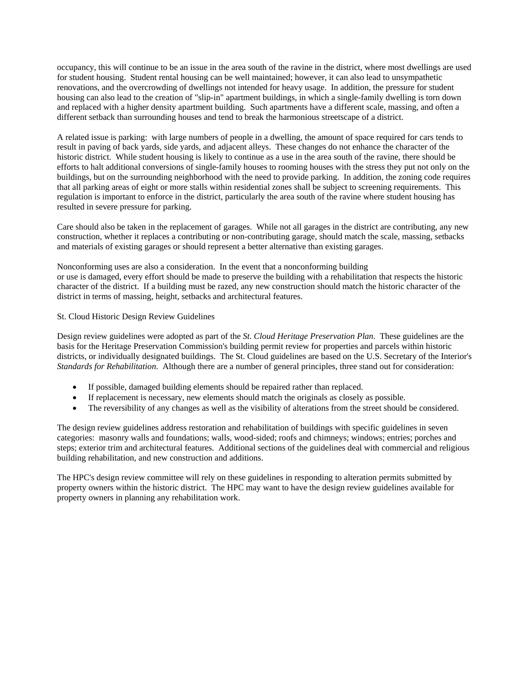occupancy, this will continue to be an issue in the area south of the ravine in the district, where most dwellings are used for student housing. Student rental housing can be well maintained; however, it can also lead to unsympathetic renovations, and the overcrowding of dwellings not intended for heavy usage. In addition, the pressure for student housing can also lead to the creation of "slip-in" apartment buildings, in which a single-family dwelling is torn down and replaced with a higher density apartment building. Such apartments have a different scale, massing, and often a different setback than surrounding houses and tend to break the harmonious streetscape of a district.

A related issue is parking: with large numbers of people in a dwelling, the amount of space required for cars tends to result in paving of back yards, side yards, and adjacent alleys. These changes do not enhance the character of the historic district. While student housing is likely to continue as a use in the area south of the ravine, there should be efforts to halt additional conversions of single-family houses to rooming houses with the stress they put not only on the buildings, but on the surrounding neighborhood with the need to provide parking. In addition, the zoning code requires that all parking areas of eight or more stalls within residential zones shall be subject to screening requirements. This regulation is important to enforce in the district, particularly the area south of the ravine where student housing has resulted in severe pressure for parking.

Care should also be taken in the replacement of garages. While not all garages in the district are contributing, any new construction, whether it replaces a contributing or non-contributing garage, should match the scale, massing, setbacks and materials of existing garages or should represent a better alternative than existing garages.

Nonconforming uses are also a consideration. In the event that a nonconforming building or use is damaged, every effort should be made to preserve the building with a rehabilitation that respects the historic character of the district. If a building must be razed, any new construction should match the historic character of the district in terms of massing, height, setbacks and architectural features.

### St. Cloud Historic Design Review Guidelines

Design review guidelines were adopted as part of the *St. Cloud Heritage Preservation Plan*. These guidelines are the basis for the Heritage Preservation Commission's building permit review for properties and parcels within historic districts, or individually designated buildings. The St. Cloud guidelines are based on the U.S. Secretary of the Interior's *Standards for Rehabilitation*. Although there are a number of general principles, three stand out for consideration:

- If possible, damaged building elements should be repaired rather than replaced.
- If replacement is necessary, new elements should match the originals as closely as possible.
- The reversibility of any changes as well as the visibility of alterations from the street should be considered.

The design review guidelines address restoration and rehabilitation of buildings with specific guidelines in seven categories: masonry walls and foundations; walls, wood-sided; roofs and chimneys; windows; entries; porches and steps; exterior trim and architectural features. Additional sections of the guidelines deal with commercial and religious building rehabilitation, and new construction and additions.

The HPC's design review committee will rely on these guidelines in responding to alteration permits submitted by property owners within the historic district. The HPC may want to have the design review guidelines available for property owners in planning any rehabilitation work.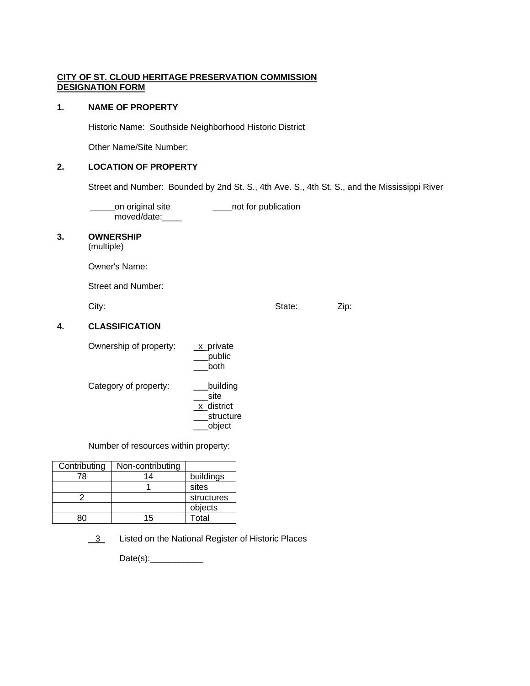## **CITY OF ST. CLOUD HERITAGE PRESERVATION COMMISSION DESIGNATION FORM**

### **1. NAME OF PROPERTY**

Historic Name: Southside Neighborhood Historic District

Other Name/Site Number:

## **2. LOCATION OF PROPERTY**

Street and Number: Bounded by 2nd St. S., 4th Ave. S., 4th St. S., and the Mississippi River

on original site **wite the contact of the contact of the contact of the contact of the contact of the contact o** moved/date:\_\_\_\_

## **3. OWNERSHIP**

(multiple)

Owner's Name:

Street and Number:

City: City: City: City: City: City: City: City: City: City: City: City: City: City: City: City: City: City: City: City: City: City: City: City: City: City: City: City: City: City: City: City: City: City: City: City: City:

## **4. CLASSIFICATION**

| Ownership of property: | x_private<br>public<br>both                           |
|------------------------|-------------------------------------------------------|
| Category of property:  | building<br>site<br>x district<br>structure<br>object |

Number of resources within property:

| Contributing | Non-contributing |            |
|--------------|------------------|------------|
| 78           | 14               | buildings  |
|              |                  | sites      |
|              |                  | structures |
|              |                  | objects    |
|              | 15               | Total      |

3 Listed on the National Register of Historic Places

Date(s):\_\_\_\_\_\_\_\_\_\_\_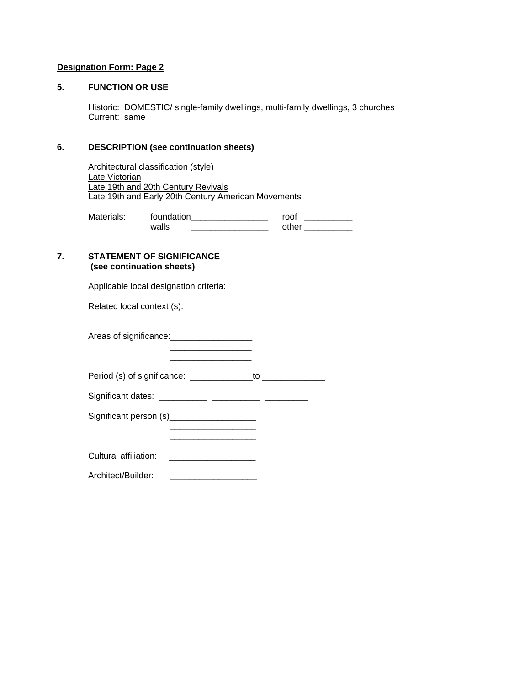## **Designation Form: Page 2**

## **5. FUNCTION OR USE**

 Historic: DOMESTIC/ single-family dwellings, multi-family dwellings, 3 churches Current: same

### **6. DESCRIPTION (see continuation sheets)**

 Architectural classification (style) Late Victorian Late 19th and 20th Century Revivals Late 19th and Early 20th Century American Movements

Materials: foundation\_\_\_\_\_\_\_\_\_\_\_\_\_\_\_\_\_\_ roof \_\_\_\_\_\_\_\_\_\_\_ walls \_\_\_\_\_\_\_\_\_\_\_\_\_\_\_\_ other \_\_\_\_\_\_\_\_\_\_  $\frac{1}{2}$  , and the contract of the contract of the contract of the contract of the contract of the contract of the contract of the contract of the contract of the contract of the contract of the contract of the contract

#### **7. STATEMENT OF SIGNIFICANCE (see continuation sheets)**

Applicable local designation criteria:

 $\frac{1}{2}$  , and the set of the set of the set of the set of the set of the set of the set of the set of the set of the set of the set of the set of the set of the set of the set of the set of the set of the set of the set

Related local context (s):

Areas of significance: \_\_\_\_\_\_\_\_\_\_\_\_\_\_\_\_\_\_\_\_\_\_

Period (s) of significance: \_\_\_\_\_\_\_\_\_\_\_\_\_to \_\_\_\_\_\_\_\_\_\_\_\_\_

\_\_\_\_\_\_\_\_\_\_\_\_\_\_\_\_\_\_

 $\frac{1}{\sqrt{2}}$  ,  $\frac{1}{\sqrt{2}}$  ,  $\frac{1}{\sqrt{2}}$  ,  $\frac{1}{\sqrt{2}}$  ,  $\frac{1}{\sqrt{2}}$  ,  $\frac{1}{\sqrt{2}}$  ,  $\frac{1}{\sqrt{2}}$  ,  $\frac{1}{\sqrt{2}}$  ,  $\frac{1}{\sqrt{2}}$  ,  $\frac{1}{\sqrt{2}}$  ,  $\frac{1}{\sqrt{2}}$  ,  $\frac{1}{\sqrt{2}}$  ,  $\frac{1}{\sqrt{2}}$  ,  $\frac{1}{\sqrt{2}}$  ,  $\frac{1}{\sqrt{2}}$ 

Significant dates: \_\_\_\_\_\_\_\_\_\_ \_\_\_\_\_\_\_\_\_\_ \_\_\_\_\_\_\_\_\_

 $\frac{1}{2}$  , and the contract of the contract of the contract of the contract of the contract of the contract of the contract of the contract of the contract of the contract of the contract of the contract of the contract

Significant person (s)\_\_\_\_\_\_\_\_\_\_\_\_\_\_\_\_\_\_

Cultural affiliation: \_\_\_\_\_\_\_\_\_\_\_\_\_\_\_\_\_\_

Architect/Builder: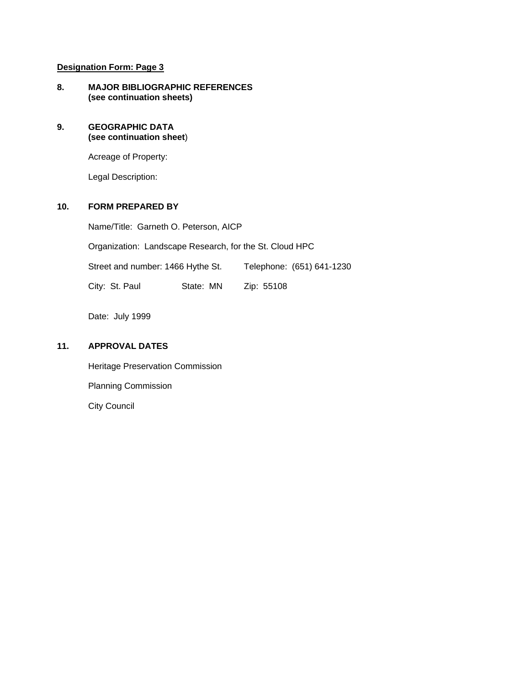## **Designation Form: Page 3**

**8. MAJOR BIBLIOGRAPHIC REFERENCES (see continuation sheets)** 

### **9. GEOGRAPHIC DATA (see continuation sheet**)

Acreage of Property:

Legal Description:

## **10. FORM PREPARED BY**

Name/Title: Garneth O. Peterson, AICP

Organization: Landscape Research, for the St. Cloud HPC

Street and number: 1466 Hythe St. Telephone: (651) 641-1230

City: St. Paul State: MN Zip: 55108

Date: July 1999

## **11. APPROVAL DATES**

 Heritage Preservation Commission Planning Commission City Council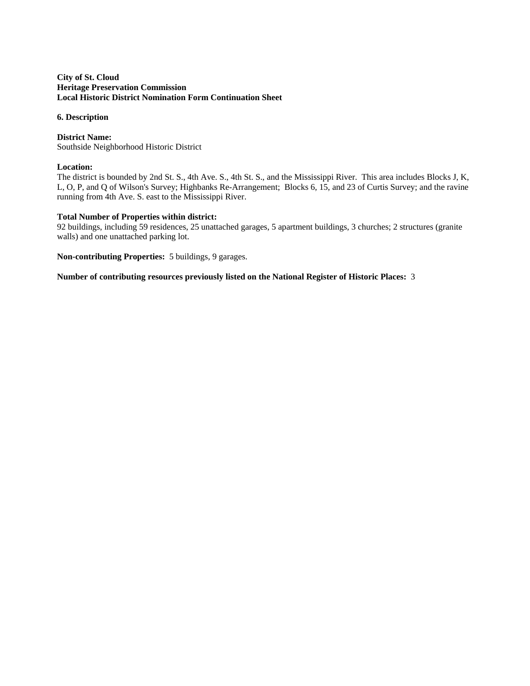#### **City of St. Cloud Heritage Preservation Commission Local Historic District Nomination Form Continuation Sheet**

#### **6. Description**

**District Name:**  Southside Neighborhood Historic District

### **Location:**

The district is bounded by 2nd St. S., 4th Ave. S., 4th St. S., and the Mississippi River. This area includes Blocks J, K, L, O, P, and Q of Wilson's Survey; Highbanks Re-Arrangement; Blocks 6, 15, and 23 of Curtis Survey; and the ravine running from 4th Ave. S. east to the Mississippi River.

### **Total Number of Properties within district:**

92 buildings, including 59 residences, 25 unattached garages, 5 apartment buildings, 3 churches; 2 structures (granite walls) and one unattached parking lot.

**Non-contributing Properties:** 5 buildings, 9 garages.

**Number of contributing resources previously listed on the National Register of Historic Places:** 3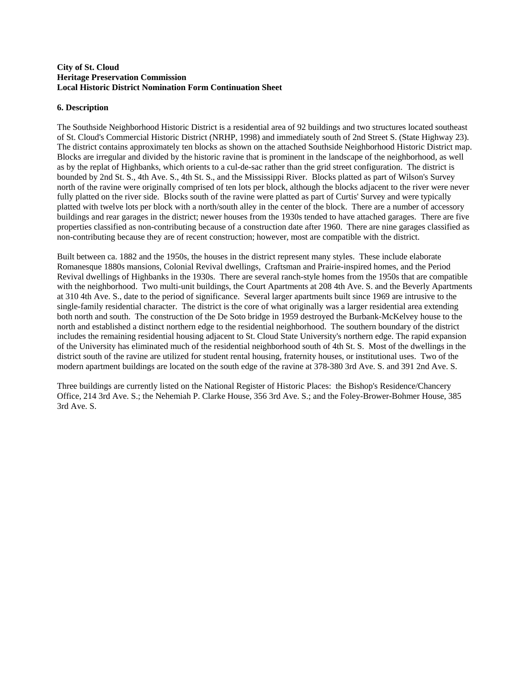#### **City of St. Cloud Heritage Preservation Commission Local Historic District Nomination Form Continuation Sheet**

### **6. Description**

The Southside Neighborhood Historic District is a residential area of 92 buildings and two structures located southeast of St. Cloud's Commercial Historic District (NRHP, 1998) and immediately south of 2nd Street S. (State Highway 23). The district contains approximately ten blocks as shown on the attached Southside Neighborhood Historic District map. Blocks are irregular and divided by the historic ravine that is prominent in the landscape of the neighborhood, as well as by the replat of Highbanks, which orients to a cul-de-sac rather than the grid street configuration. The district is bounded by 2nd St. S., 4th Ave. S., 4th St. S., and the Mississippi River. Blocks platted as part of Wilson's Survey north of the ravine were originally comprised of ten lots per block, although the blocks adjacent to the river were never fully platted on the river side. Blocks south of the ravine were platted as part of Curtis' Survey and were typically platted with twelve lots per block with a north/south alley in the center of the block. There are a number of accessory buildings and rear garages in the district; newer houses from the 1930s tended to have attached garages. There are five properties classified as non-contributing because of a construction date after 1960. There are nine garages classified as non-contributing because they are of recent construction; however, most are compatible with the district.

Built between ca. 1882 and the 1950s, the houses in the district represent many styles. These include elaborate Romanesque 1880s mansions, Colonial Revival dwellings, Craftsman and Prairie-inspired homes, and the Period Revival dwellings of Highbanks in the 1930s. There are several ranch-style homes from the 1950s that are compatible with the neighborhood. Two multi-unit buildings, the Court Apartments at 208 4th Ave. S. and the Beverly Apartments at 310 4th Ave. S., date to the period of significance. Several larger apartments built since 1969 are intrusive to the single-family residential character. The district is the core of what originally was a larger residential area extending both north and south. The construction of the De Soto bridge in 1959 destroyed the Burbank-McKelvey house to the north and established a distinct northern edge to the residential neighborhood. The southern boundary of the district includes the remaining residential housing adjacent to St. Cloud State University's northern edge. The rapid expansion of the University has eliminated much of the residential neighborhood south of 4th St. S. Most of the dwellings in the district south of the ravine are utilized for student rental housing, fraternity houses, or institutional uses. Two of the modern apartment buildings are located on the south edge of the ravine at 378-380 3rd Ave. S. and 391 2nd Ave. S.

Three buildings are currently listed on the National Register of Historic Places: the Bishop's Residence/Chancery Office, 214 3rd Ave. S.; the Nehemiah P. Clarke House, 356 3rd Ave. S.; and the Foley-Brower-Bohmer House, 385 3rd Ave. S.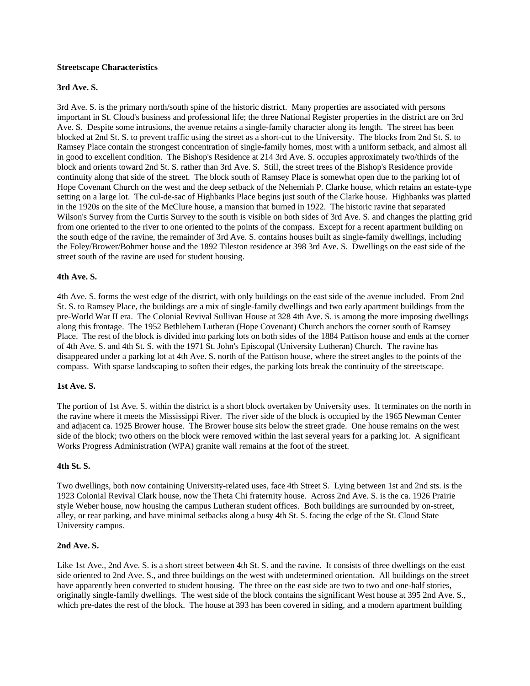#### **Streetscape Characteristics**

#### **3rd Ave. S.**

3rd Ave. S. is the primary north/south spine of the historic district. Many properties are associated with persons important in St. Cloud's business and professional life; the three National Register properties in the district are on 3rd Ave. S. Despite some intrusions, the avenue retains a single-family character along its length. The street has been blocked at 2nd St. S. to prevent traffic using the street as a short-cut to the University. The blocks from 2nd St. S. to Ramsey Place contain the strongest concentration of single-family homes, most with a uniform setback, and almost all in good to excellent condition. The Bishop's Residence at 214 3rd Ave. S. occupies approximately two/thirds of the block and orients toward 2nd St. S. rather than 3rd Ave. S. Still, the street trees of the Bishop's Residence provide continuity along that side of the street. The block south of Ramsey Place is somewhat open due to the parking lot of Hope Covenant Church on the west and the deep setback of the Nehemiah P. Clarke house, which retains an estate-type setting on a large lot. The cul-de-sac of Highbanks Place begins just south of the Clarke house. Highbanks was platted in the 1920s on the site of the McClure house, a mansion that burned in 1922. The historic ravine that separated Wilson's Survey from the Curtis Survey to the south is visible on both sides of 3rd Ave. S. and changes the platting grid from one oriented to the river to one oriented to the points of the compass. Except for a recent apartment building on the south edge of the ravine, the remainder of 3rd Ave. S. contains houses built as single-family dwellings, including the Foley/Brower/Bohmer house and the 1892 Tileston residence at 398 3rd Ave. S. Dwellings on the east side of the street south of the ravine are used for student housing.

#### **4th Ave. S.**

4th Ave. S. forms the west edge of the district, with only buildings on the east side of the avenue included. From 2nd St. S. to Ramsey Place, the buildings are a mix of single-family dwellings and two early apartment buildings from the pre-World War II era. The Colonial Revival Sullivan House at 328 4th Ave. S. is among the more imposing dwellings along this frontage. The 1952 Bethlehem Lutheran (Hope Covenant) Church anchors the corner south of Ramsey Place. The rest of the block is divided into parking lots on both sides of the 1884 Pattison house and ends at the corner of 4th Ave. S. and 4th St. S. with the 1971 St. John's Episcopal (University Lutheran) Church. The ravine has disappeared under a parking lot at 4th Ave. S. north of the Pattison house, where the street angles to the points of the compass. With sparse landscaping to soften their edges, the parking lots break the continuity of the streetscape.

#### **1st Ave. S.**

The portion of 1st Ave. S. within the district is a short block overtaken by University uses. It terminates on the north in the ravine where it meets the Mississippi River. The river side of the block is occupied by the 1965 Newman Center and adjacent ca. 1925 Brower house. The Brower house sits below the street grade. One house remains on the west side of the block; two others on the block were removed within the last several years for a parking lot. A significant Works Progress Administration (WPA) granite wall remains at the foot of the street.

#### **4th St. S.**

Two dwellings, both now containing University-related uses, face 4th Street S. Lying between 1st and 2nd sts. is the 1923 Colonial Revival Clark house, now the Theta Chi fraternity house. Across 2nd Ave. S. is the ca. 1926 Prairie style Weber house, now housing the campus Lutheran student offices. Both buildings are surrounded by on-street, alley, or rear parking, and have minimal setbacks along a busy 4th St. S. facing the edge of the St. Cloud State University campus.

#### **2nd Ave. S.**

Like 1st Ave., 2nd Ave. S. is a short street between 4th St. S. and the ravine. It consists of three dwellings on the east side oriented to 2nd Ave. S., and three buildings on the west with undetermined orientation. All buildings on the street have apparently been converted to student housing. The three on the east side are two to two and one-half stories, originally single-family dwellings. The west side of the block contains the significant West house at 395 2nd Ave. S., which pre-dates the rest of the block. The house at 393 has been covered in siding, and a modern apartment building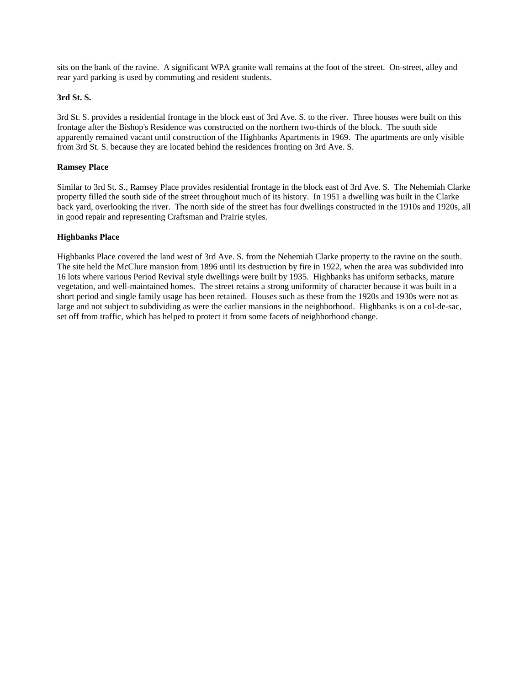sits on the bank of the ravine. A significant WPA granite wall remains at the foot of the street. On-street, alley and rear yard parking is used by commuting and resident students.

#### **3rd St. S.**

3rd St. S. provides a residential frontage in the block east of 3rd Ave. S. to the river. Three houses were built on this frontage after the Bishop's Residence was constructed on the northern two-thirds of the block. The south side apparently remained vacant until construction of the Highbanks Apartments in 1969. The apartments are only visible from 3rd St. S. because they are located behind the residences fronting on 3rd Ave. S.

#### **Ramsey Place**

Similar to 3rd St. S., Ramsey Place provides residential frontage in the block east of 3rd Ave. S. The Nehemiah Clarke property filled the south side of the street throughout much of its history. In 1951 a dwelling was built in the Clarke back yard, overlooking the river. The north side of the street has four dwellings constructed in the 1910s and 1920s, all in good repair and representing Craftsman and Prairie styles.

#### **Highbanks Place**

Highbanks Place covered the land west of 3rd Ave. S. from the Nehemiah Clarke property to the ravine on the south. The site held the McClure mansion from 1896 until its destruction by fire in 1922, when the area was subdivided into 16 lots where various Period Revival style dwellings were built by 1935. Highbanks has uniform setbacks, mature vegetation, and well-maintained homes. The street retains a strong uniformity of character because it was built in a short period and single family usage has been retained. Houses such as these from the 1920s and 1930s were not as large and not subject to subdividing as were the earlier mansions in the neighborhood. Highbanks is on a cul-de-sac, set off from traffic, which has helped to protect it from some facets of neighborhood change.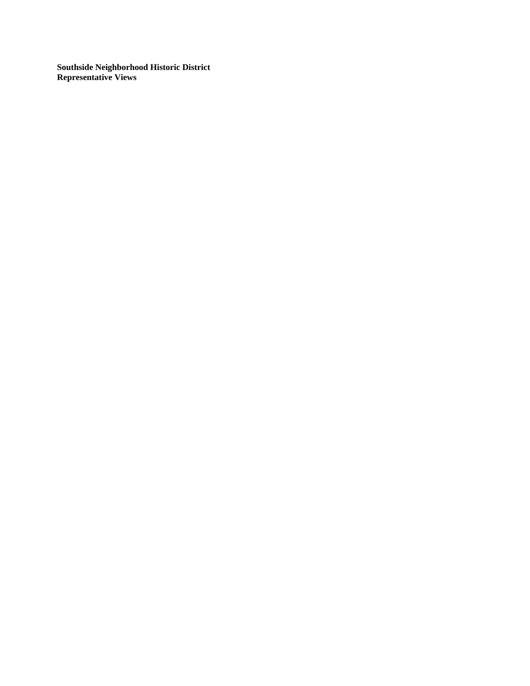**Southside Neighborhood Historic District Representative Views**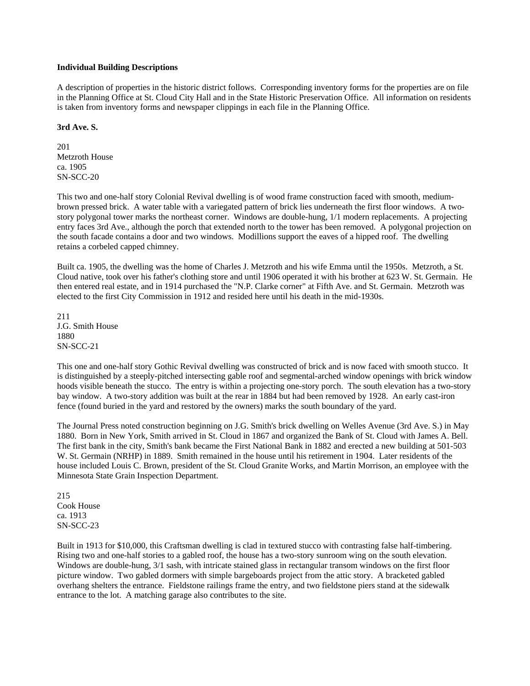#### **Individual Building Descriptions**

A description of properties in the historic district follows. Corresponding inventory forms for the properties are on file in the Planning Office at St. Cloud City Hall and in the State Historic Preservation Office. All information on residents is taken from inventory forms and newspaper clippings in each file in the Planning Office.

#### **3rd Ave. S.**

201 Metzroth House ca. 1905 SN-SCC-20

This two and one-half story Colonial Revival dwelling is of wood frame construction faced with smooth, mediumbrown pressed brick. A water table with a variegated pattern of brick lies underneath the first floor windows. A twostory polygonal tower marks the northeast corner. Windows are double-hung, 1/1 modern replacements. A projecting entry faces 3rd Ave., although the porch that extended north to the tower has been removed. A polygonal projection on the south facade contains a door and two windows. Modillions support the eaves of a hipped roof. The dwelling retains a corbeled capped chimney.

Built ca. 1905, the dwelling was the home of Charles J. Metzroth and his wife Emma until the 1950s. Metzroth, a St. Cloud native, took over his father's clothing store and until 1906 operated it with his brother at 623 W. St. Germain. He then entered real estate, and in 1914 purchased the "N.P. Clarke corner" at Fifth Ave. and St. Germain. Metzroth was elected to the first City Commission in 1912 and resided here until his death in the mid-1930s.

211 J.G. Smith House 1880 SN-SCC-21

This one and one-half story Gothic Revival dwelling was constructed of brick and is now faced with smooth stucco. It is distinguished by a steeply-pitched intersecting gable roof and segmental-arched window openings with brick window hoods visible beneath the stucco. The entry is within a projecting one-story porch. The south elevation has a two-story bay window. A two-story addition was built at the rear in 1884 but had been removed by 1928. An early cast-iron fence (found buried in the yard and restored by the owners) marks the south boundary of the yard.

The Journal Press noted construction beginning on J.G. Smith's brick dwelling on Welles Avenue (3rd Ave. S.) in May 1880. Born in New York, Smith arrived in St. Cloud in 1867 and organized the Bank of St. Cloud with James A. Bell. The first bank in the city, Smith's bank became the First National Bank in 1882 and erected a new building at 501-503 W. St. Germain (NRHP) in 1889. Smith remained in the house until his retirement in 1904. Later residents of the house included Louis C. Brown, president of the St. Cloud Granite Works, and Martin Morrison, an employee with the Minnesota State Grain Inspection Department.

215 Cook House ca. 1913 SN-SCC-23

Built in 1913 for \$10,000, this Craftsman dwelling is clad in textured stucco with contrasting false half-timbering. Rising two and one-half stories to a gabled roof, the house has a two-story sunroom wing on the south elevation. Windows are double-hung, 3/1 sash, with intricate stained glass in rectangular transom windows on the first floor picture window. Two gabled dormers with simple bargeboards project from the attic story. A bracketed gabled overhang shelters the entrance. Fieldstone railings frame the entry, and two fieldstone piers stand at the sidewalk entrance to the lot. A matching garage also contributes to the site.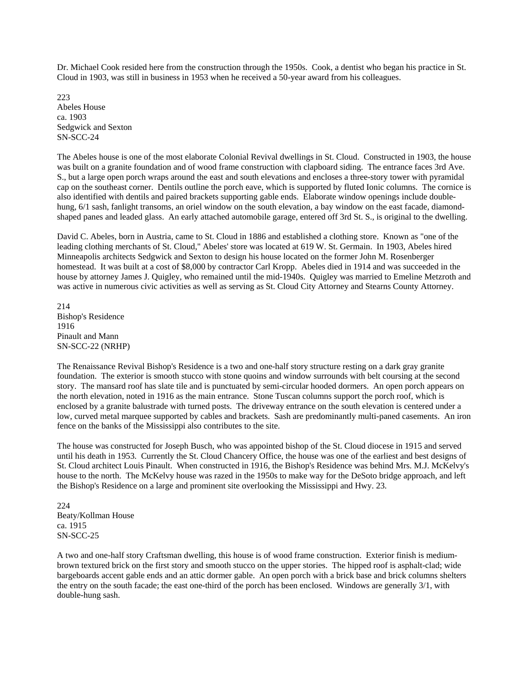Dr. Michael Cook resided here from the construction through the 1950s. Cook, a dentist who began his practice in St. Cloud in 1903, was still in business in 1953 when he received a 50-year award from his colleagues.

223 Abeles House ca. 1903 Sedgwick and Sexton SN-SCC-24

The Abeles house is one of the most elaborate Colonial Revival dwellings in St. Cloud. Constructed in 1903, the house was built on a granite foundation and of wood frame construction with clapboard siding. The entrance faces 3rd Ave. S., but a large open porch wraps around the east and south elevations and encloses a three-story tower with pyramidal cap on the southeast corner. Dentils outline the porch eave, which is supported by fluted Ionic columns. The cornice is also identified with dentils and paired brackets supporting gable ends. Elaborate window openings include doublehung, 6/1 sash, fanlight transoms, an oriel window on the south elevation, a bay window on the east facade, diamondshaped panes and leaded glass. An early attached automobile garage, entered off 3rd St. S., is original to the dwelling.

David C. Abeles, born in Austria, came to St. Cloud in 1886 and established a clothing store. Known as "one of the leading clothing merchants of St. Cloud," Abeles' store was located at 619 W. St. Germain. In 1903, Abeles hired Minneapolis architects Sedgwick and Sexton to design his house located on the former John M. Rosenberger homestead. It was built at a cost of \$8,000 by contractor Carl Kropp. Abeles died in 1914 and was succeeded in the house by attorney James J. Quigley, who remained until the mid-1940s. Quigley was married to Emeline Metzroth and was active in numerous civic activities as well as serving as St. Cloud City Attorney and Stearns County Attorney.

214 Bishop's Residence 1916 Pinault and Mann SN-SCC-22 (NRHP)

The Renaissance Revival Bishop's Residence is a two and one-half story structure resting on a dark gray granite foundation. The exterior is smooth stucco with stone quoins and window surrounds with belt coursing at the second story. The mansard roof has slate tile and is punctuated by semi-circular hooded dormers. An open porch appears on the north elevation, noted in 1916 as the main entrance. Stone Tuscan columns support the porch roof, which is enclosed by a granite balustrade with turned posts. The driveway entrance on the south elevation is centered under a low, curved metal marquee supported by cables and brackets. Sash are predominantly multi-paned casements. An iron fence on the banks of the Mississippi also contributes to the site.

The house was constructed for Joseph Busch, who was appointed bishop of the St. Cloud diocese in 1915 and served until his death in 1953. Currently the St. Cloud Chancery Office, the house was one of the earliest and best designs of St. Cloud architect Louis Pinault. When constructed in 1916, the Bishop's Residence was behind Mrs. M.J. McKelvy's house to the north. The McKelvy house was razed in the 1950s to make way for the DeSoto bridge approach, and left the Bishop's Residence on a large and prominent site overlooking the Mississippi and Hwy. 23.

224 Beaty/Kollman House ca. 1915 SN-SCC-25

A two and one-half story Craftsman dwelling, this house is of wood frame construction. Exterior finish is mediumbrown textured brick on the first story and smooth stucco on the upper stories. The hipped roof is asphalt-clad; wide bargeboards accent gable ends and an attic dormer gable. An open porch with a brick base and brick columns shelters the entry on the south facade; the east one-third of the porch has been enclosed. Windows are generally 3/1, with double-hung sash.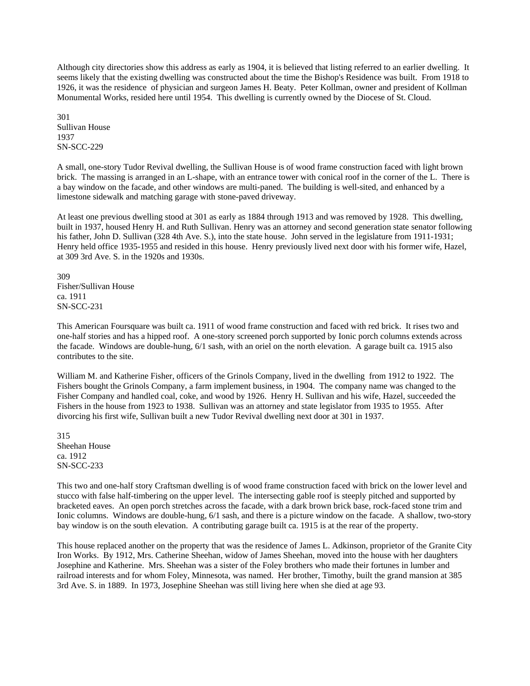Although city directories show this address as early as 1904, it is believed that listing referred to an earlier dwelling. It seems likely that the existing dwelling was constructed about the time the Bishop's Residence was built. From 1918 to 1926, it was the residence of physician and surgeon James H. Beaty. Peter Kollman, owner and president of Kollman Monumental Works, resided here until 1954. This dwelling is currently owned by the Diocese of St. Cloud.

301 Sullivan House 1937 SN-SCC-229

A small, one-story Tudor Revival dwelling, the Sullivan House is of wood frame construction faced with light brown brick. The massing is arranged in an L-shape, with an entrance tower with conical roof in the corner of the L. There is a bay window on the facade, and other windows are multi-paned. The building is well-sited, and enhanced by a limestone sidewalk and matching garage with stone-paved driveway.

At least one previous dwelling stood at 301 as early as 1884 through 1913 and was removed by 1928. This dwelling, built in 1937, housed Henry H. and Ruth Sullivan. Henry was an attorney and second generation state senator following his father, John D. Sullivan (328 4th Ave. S.), into the state house. John served in the legislature from 1911-1931; Henry held office 1935-1955 and resided in this house. Henry previously lived next door with his former wife, Hazel, at 309 3rd Ave. S. in the 1920s and 1930s.

309 Fisher/Sullivan House ca. 1911 SN-SCC-231

This American Foursquare was built ca. 1911 of wood frame construction and faced with red brick. It rises two and one-half stories and has a hipped roof. A one-story screened porch supported by Ionic porch columns extends across the facade. Windows are double-hung, 6/1 sash, with an oriel on the north elevation. A garage built ca. 1915 also contributes to the site.

William M. and Katherine Fisher, officers of the Grinols Company, lived in the dwelling from 1912 to 1922. The Fishers bought the Grinols Company, a farm implement business, in 1904. The company name was changed to the Fisher Company and handled coal, coke, and wood by 1926. Henry H. Sullivan and his wife, Hazel, succeeded the Fishers in the house from 1923 to 1938. Sullivan was an attorney and state legislator from 1935 to 1955. After divorcing his first wife, Sullivan built a new Tudor Revival dwelling next door at 301 in 1937.

315 Sheehan House ca. 1912 SN-SCC-233

This two and one-half story Craftsman dwelling is of wood frame construction faced with brick on the lower level and stucco with false half-timbering on the upper level. The intersecting gable roof is steeply pitched and supported by bracketed eaves. An open porch stretches across the facade, with a dark brown brick base, rock-faced stone trim and Ionic columns. Windows are double-hung, 6/1 sash, and there is a picture window on the facade. A shallow, two-story bay window is on the south elevation. A contributing garage built ca. 1915 is at the rear of the property.

This house replaced another on the property that was the residence of James L. Adkinson, proprietor of the Granite City Iron Works. By 1912, Mrs. Catherine Sheehan, widow of James Sheehan, moved into the house with her daughters Josephine and Katherine. Mrs. Sheehan was a sister of the Foley brothers who made their fortunes in lumber and railroad interests and for whom Foley, Minnesota, was named. Her brother, Timothy, built the grand mansion at 385 3rd Ave. S. in 1889. In 1973, Josephine Sheehan was still living here when she died at age 93.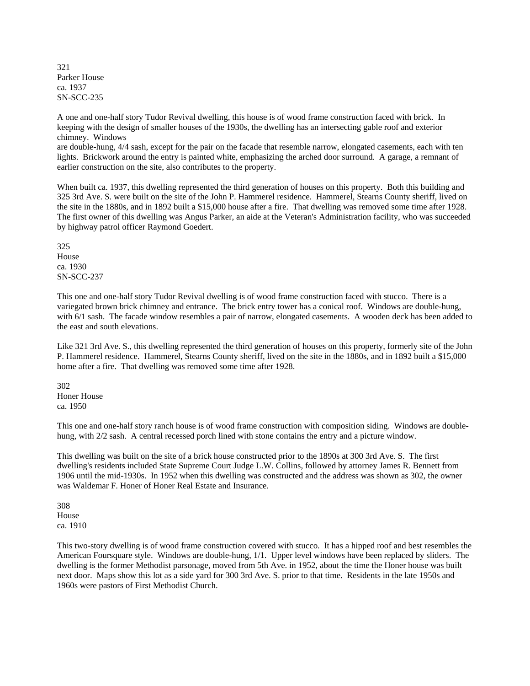321 Parker House ca. 1937 SN-SCC-235

A one and one-half story Tudor Revival dwelling, this house is of wood frame construction faced with brick. In keeping with the design of smaller houses of the 1930s, the dwelling has an intersecting gable roof and exterior chimney. Windows

are double-hung, 4/4 sash, except for the pair on the facade that resemble narrow, elongated casements, each with ten lights. Brickwork around the entry is painted white, emphasizing the arched door surround. A garage, a remnant of earlier construction on the site, also contributes to the property.

When built ca. 1937, this dwelling represented the third generation of houses on this property. Both this building and 325 3rd Ave. S. were built on the site of the John P. Hammerel residence. Hammerel, Stearns County sheriff, lived on the site in the 1880s, and in 1892 built a \$15,000 house after a fire. That dwelling was removed some time after 1928. The first owner of this dwelling was Angus Parker, an aide at the Veteran's Administration facility, who was succeeded by highway patrol officer Raymond Goedert.

325 House ca. 1930 SN-SCC-237

This one and one-half story Tudor Revival dwelling is of wood frame construction faced with stucco. There is a variegated brown brick chimney and entrance. The brick entry tower has a conical roof. Windows are double-hung, with 6/1 sash. The facade window resembles a pair of narrow, elongated casements. A wooden deck has been added to the east and south elevations.

Like 321 3rd Ave. S., this dwelling represented the third generation of houses on this property, formerly site of the John P. Hammerel residence. Hammerel, Stearns County sheriff, lived on the site in the 1880s, and in 1892 built a \$15,000 home after a fire. That dwelling was removed some time after 1928.

302 Honer House ca. 1950

This one and one-half story ranch house is of wood frame construction with composition siding. Windows are doublehung, with  $2/2$  sash. A central recessed porch lined with stone contains the entry and a picture window.

This dwelling was built on the site of a brick house constructed prior to the 1890s at 300 3rd Ave. S. The first dwelling's residents included State Supreme Court Judge L.W. Collins, followed by attorney James R. Bennett from 1906 until the mid-1930s. In 1952 when this dwelling was constructed and the address was shown as 302, the owner was Waldemar F. Honer of Honer Real Estate and Insurance.

308 House ca. 1910

This two-story dwelling is of wood frame construction covered with stucco. It has a hipped roof and best resembles the American Foursquare style. Windows are double-hung, 1/1. Upper level windows have been replaced by sliders. The dwelling is the former Methodist parsonage, moved from 5th Ave. in 1952, about the time the Honer house was built next door. Maps show this lot as a side yard for 300 3rd Ave. S. prior to that time. Residents in the late 1950s and 1960s were pastors of First Methodist Church.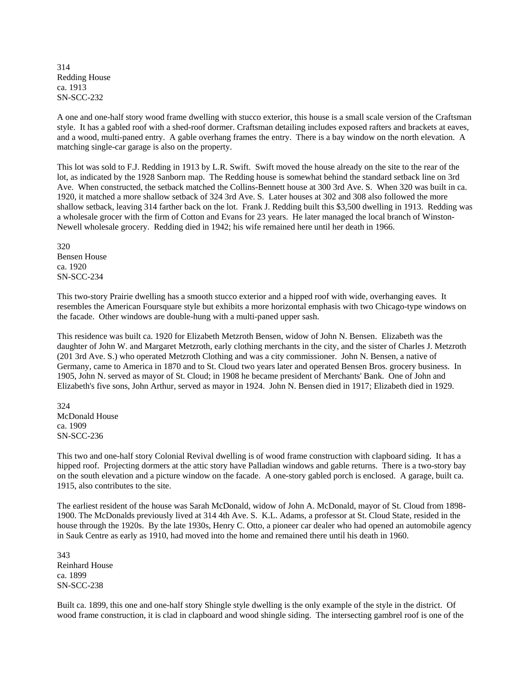314 Redding House ca. 1913 SN-SCC-232

A one and one-half story wood frame dwelling with stucco exterior, this house is a small scale version of the Craftsman style. It has a gabled roof with a shed-roof dormer. Craftsman detailing includes exposed rafters and brackets at eaves, and a wood, multi-paned entry. A gable overhang frames the entry. There is a bay window on the north elevation. A matching single-car garage is also on the property.

This lot was sold to F.J. Redding in 1913 by L.R. Swift. Swift moved the house already on the site to the rear of the lot, as indicated by the 1928 Sanborn map. The Redding house is somewhat behind the standard setback line on 3rd Ave. When constructed, the setback matched the Collins-Bennett house at 300 3rd Ave. S. When 320 was built in ca. 1920, it matched a more shallow setback of 324 3rd Ave. S. Later houses at 302 and 308 also followed the more shallow setback, leaving 314 farther back on the lot. Frank J. Redding built this \$3,500 dwelling in 1913. Redding was a wholesale grocer with the firm of Cotton and Evans for 23 years. He later managed the local branch of Winston-Newell wholesale grocery. Redding died in 1942; his wife remained here until her death in 1966.

320 Bensen House ca. 1920 SN-SCC-234

This two-story Prairie dwelling has a smooth stucco exterior and a hipped roof with wide, overhanging eaves. It resembles the American Foursquare style but exhibits a more horizontal emphasis with two Chicago-type windows on the facade. Other windows are double-hung with a multi-paned upper sash.

This residence was built ca. 1920 for Elizabeth Metzroth Bensen, widow of John N. Bensen. Elizabeth was the daughter of John W. and Margaret Metzroth, early clothing merchants in the city, and the sister of Charles J. Metzroth (201 3rd Ave. S.) who operated Metzroth Clothing and was a city commissioner. John N. Bensen, a native of Germany, came to America in 1870 and to St. Cloud two years later and operated Bensen Bros. grocery business. In 1905, John N. served as mayor of St. Cloud; in 1908 he became president of Merchants' Bank. One of John and Elizabeth's five sons, John Arthur, served as mayor in 1924. John N. Bensen died in 1917; Elizabeth died in 1929.

324 McDonald House ca. 1909 SN-SCC-236

This two and one-half story Colonial Revival dwelling is of wood frame construction with clapboard siding. It has a hipped roof. Projecting dormers at the attic story have Palladian windows and gable returns. There is a two-story bay on the south elevation and a picture window on the facade. A one-story gabled porch is enclosed. A garage, built ca. 1915, also contributes to the site.

The earliest resident of the house was Sarah McDonald, widow of John A. McDonald, mayor of St. Cloud from 1898- 1900. The McDonalds previously lived at 314 4th Ave. S. K.L. Adams, a professor at St. Cloud State, resided in the house through the 1920s. By the late 1930s, Henry C. Otto, a pioneer car dealer who had opened an automobile agency in Sauk Centre as early as 1910, had moved into the home and remained there until his death in 1960.

343 Reinhard House ca. 1899 SN-SCC-238

Built ca. 1899, this one and one-half story Shingle style dwelling is the only example of the style in the district. Of wood frame construction, it is clad in clapboard and wood shingle siding. The intersecting gambrel roof is one of the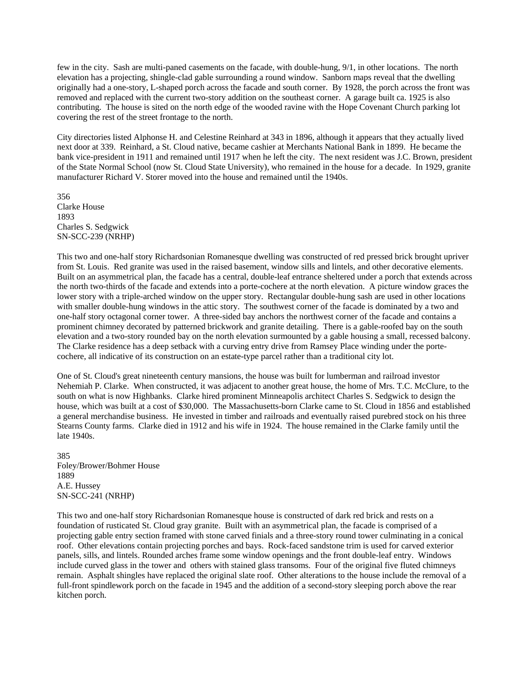few in the city. Sash are multi-paned casements on the facade, with double-hung, 9/1, in other locations. The north elevation has a projecting, shingle-clad gable surrounding a round window. Sanborn maps reveal that the dwelling originally had a one-story, L-shaped porch across the facade and south corner. By 1928, the porch across the front was removed and replaced with the current two-story addition on the southeast corner. A garage built ca. 1925 is also contributing. The house is sited on the north edge of the wooded ravine with the Hope Covenant Church parking lot covering the rest of the street frontage to the north.

City directories listed Alphonse H. and Celestine Reinhard at 343 in 1896, although it appears that they actually lived next door at 339. Reinhard, a St. Cloud native, became cashier at Merchants National Bank in 1899. He became the bank vice-president in 1911 and remained until 1917 when he left the city. The next resident was J.C. Brown, president of the State Normal School (now St. Cloud State University), who remained in the house for a decade. In 1929, granite manufacturer Richard V. Storer moved into the house and remained until the 1940s.

356 Clarke House 1893 Charles S. Sedgwick SN-SCC-239 (NRHP)

This two and one-half story Richardsonian Romanesque dwelling was constructed of red pressed brick brought upriver from St. Louis. Red granite was used in the raised basement, window sills and lintels, and other decorative elements. Built on an asymmetrical plan, the facade has a central, double-leaf entrance sheltered under a porch that extends across the north two-thirds of the facade and extends into a porte-cochere at the north elevation. A picture window graces the lower story with a triple-arched window on the upper story. Rectangular double-hung sash are used in other locations with smaller double-hung windows in the attic story. The southwest corner of the facade is dominated by a two and one-half story octagonal corner tower. A three-sided bay anchors the northwest corner of the facade and contains a prominent chimney decorated by patterned brickwork and granite detailing. There is a gable-roofed bay on the south elevation and a two-story rounded bay on the north elevation surmounted by a gable housing a small, recessed balcony. The Clarke residence has a deep setback with a curving entry drive from Ramsey Place winding under the portecochere, all indicative of its construction on an estate-type parcel rather than a traditional city lot.

One of St. Cloud's great nineteenth century mansions, the house was built for lumberman and railroad investor Nehemiah P. Clarke. When constructed, it was adjacent to another great house, the home of Mrs. T.C. McClure, to the south on what is now Highbanks. Clarke hired prominent Minneapolis architect Charles S. Sedgwick to design the house, which was built at a cost of \$30,000. The Massachusetts-born Clarke came to St. Cloud in 1856 and established a general merchandise business. He invested in timber and railroads and eventually raised purebred stock on his three Stearns County farms. Clarke died in 1912 and his wife in 1924. The house remained in the Clarke family until the late 1940s.

385 Foley/Brower/Bohmer House 1889 A.E. Hussey SN-SCC-241 (NRHP)

This two and one-half story Richardsonian Romanesque house is constructed of dark red brick and rests on a foundation of rusticated St. Cloud gray granite. Built with an asymmetrical plan, the facade is comprised of a projecting gable entry section framed with stone carved finials and a three-story round tower culminating in a conical roof. Other elevations contain projecting porches and bays. Rock-faced sandstone trim is used for carved exterior panels, sills, and lintels. Rounded arches frame some window openings and the front double-leaf entry. Windows include curved glass in the tower and others with stained glass transoms. Four of the original five fluted chimneys remain. Asphalt shingles have replaced the original slate roof. Other alterations to the house include the removal of a full-front spindlework porch on the facade in 1945 and the addition of a second-story sleeping porch above the rear kitchen porch.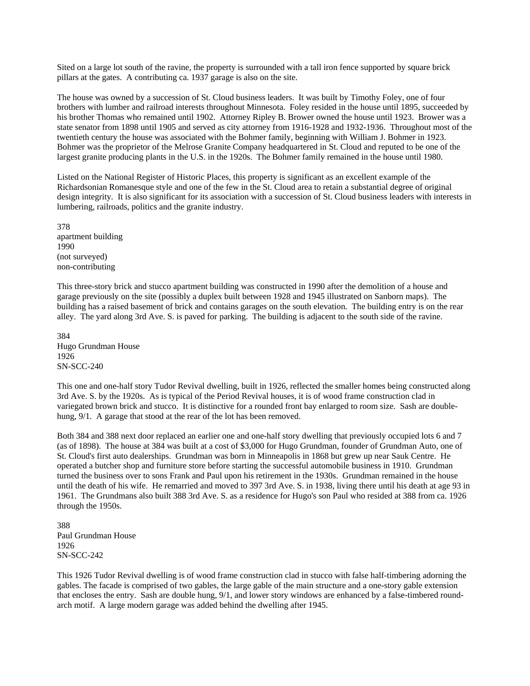Sited on a large lot south of the ravine, the property is surrounded with a tall iron fence supported by square brick pillars at the gates. A contributing ca. 1937 garage is also on the site.

The house was owned by a succession of St. Cloud business leaders. It was built by Timothy Foley, one of four brothers with lumber and railroad interests throughout Minnesota. Foley resided in the house until 1895, succeeded by his brother Thomas who remained until 1902. Attorney Ripley B. Brower owned the house until 1923. Brower was a state senator from 1898 until 1905 and served as city attorney from 1916-1928 and 1932-1936. Throughout most of the twentieth century the house was associated with the Bohmer family, beginning with William J. Bohmer in 1923. Bohmer was the proprietor of the Melrose Granite Company headquartered in St. Cloud and reputed to be one of the largest granite producing plants in the U.S. in the 1920s. The Bohmer family remained in the house until 1980.

Listed on the National Register of Historic Places, this property is significant as an excellent example of the Richardsonian Romanesque style and one of the few in the St. Cloud area to retain a substantial degree of original design integrity. It is also significant for its association with a succession of St. Cloud business leaders with interests in lumbering, railroads, politics and the granite industry.

378 apartment building 1990 (not surveyed) non-contributing

This three-story brick and stucco apartment building was constructed in 1990 after the demolition of a house and garage previously on the site (possibly a duplex built between 1928 and 1945 illustrated on Sanborn maps). The building has a raised basement of brick and contains garages on the south elevation. The building entry is on the rear alley. The yard along 3rd Ave. S. is paved for parking. The building is adjacent to the south side of the ravine.

384 Hugo Grundman House 1926 SN-SCC-240

This one and one-half story Tudor Revival dwelling, built in 1926, reflected the smaller homes being constructed along 3rd Ave. S. by the 1920s. As is typical of the Period Revival houses, it is of wood frame construction clad in variegated brown brick and stucco. It is distinctive for a rounded front bay enlarged to room size. Sash are doublehung, 9/1. A garage that stood at the rear of the lot has been removed.

Both 384 and 388 next door replaced an earlier one and one-half story dwelling that previously occupied lots 6 and 7 (as of 1898). The house at 384 was built at a cost of \$3,000 for Hugo Grundman, founder of Grundman Auto, one of St. Cloud's first auto dealerships. Grundman was born in Minneapolis in 1868 but grew up near Sauk Centre. He operated a butcher shop and furniture store before starting the successful automobile business in 1910. Grundman turned the business over to sons Frank and Paul upon his retirement in the 1930s. Grundman remained in the house until the death of his wife. He remarried and moved to 397 3rd Ave. S. in 1938, living there until his death at age 93 in 1961. The Grundmans also built 388 3rd Ave. S. as a residence for Hugo's son Paul who resided at 388 from ca. 1926 through the 1950s.

388 Paul Grundman House 1926 SN-SCC-242

This 1926 Tudor Revival dwelling is of wood frame construction clad in stucco with false half-timbering adorning the gables. The facade is comprised of two gables, the large gable of the main structure and a one-story gable extension that encloses the entry. Sash are double hung, 9/1, and lower story windows are enhanced by a false-timbered roundarch motif. A large modern garage was added behind the dwelling after 1945.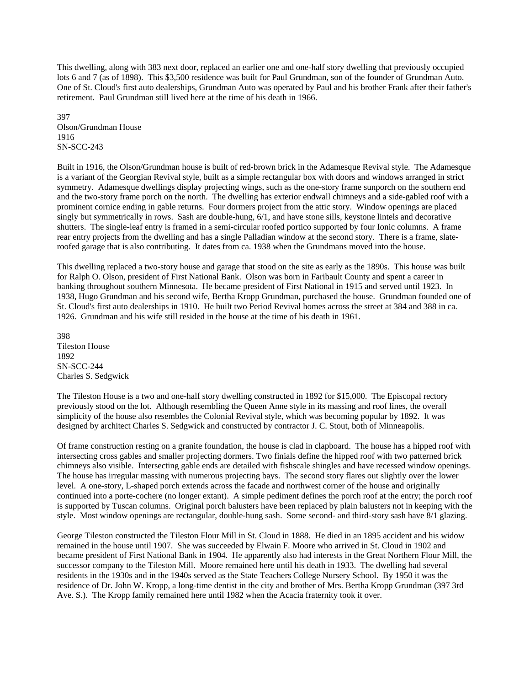This dwelling, along with 383 next door, replaced an earlier one and one-half story dwelling that previously occupied lots 6 and 7 (as of 1898). This \$3,500 residence was built for Paul Grundman, son of the founder of Grundman Auto. One of St. Cloud's first auto dealerships, Grundman Auto was operated by Paul and his brother Frank after their father's retirement. Paul Grundman still lived here at the time of his death in 1966.

397 Olson/Grundman House 1916 SN-SCC-243

Built in 1916, the Olson/Grundman house is built of red-brown brick in the Adamesque Revival style. The Adamesque is a variant of the Georgian Revival style, built as a simple rectangular box with doors and windows arranged in strict symmetry. Adamesque dwellings display projecting wings, such as the one-story frame sunporch on the southern end and the two-story frame porch on the north. The dwelling has exterior endwall chimneys and a side-gabled roof with a prominent cornice ending in gable returns. Four dormers project from the attic story. Window openings are placed singly but symmetrically in rows. Sash are double-hung, 6/1, and have stone sills, keystone lintels and decorative shutters. The single-leaf entry is framed in a semi-circular roofed portico supported by four Ionic columns. A frame rear entry projects from the dwelling and has a single Palladian window at the second story. There is a frame, slateroofed garage that is also contributing. It dates from ca. 1938 when the Grundmans moved into the house.

This dwelling replaced a two-story house and garage that stood on the site as early as the 1890s. This house was built for Ralph O. Olson, president of First National Bank. Olson was born in Faribault County and spent a career in banking throughout southern Minnesota. He became president of First National in 1915 and served until 1923. In 1938, Hugo Grundman and his second wife, Bertha Kropp Grundman, purchased the house. Grundman founded one of St. Cloud's first auto dealerships in 1910. He built two Period Revival homes across the street at 384 and 388 in ca. 1926. Grundman and his wife still resided in the house at the time of his death in 1961.

398 Tileston House 1892 SN-SCC-244 Charles S. Sedgwick

The Tileston House is a two and one-half story dwelling constructed in 1892 for \$15,000. The Episcopal rectory previously stood on the lot. Although resembling the Queen Anne style in its massing and roof lines, the overall simplicity of the house also resembles the Colonial Revival style, which was becoming popular by 1892. It was designed by architect Charles S. Sedgwick and constructed by contractor J. C. Stout, both of Minneapolis.

Of frame construction resting on a granite foundation, the house is clad in clapboard. The house has a hipped roof with intersecting cross gables and smaller projecting dormers. Two finials define the hipped roof with two patterned brick chimneys also visible. Intersecting gable ends are detailed with fishscale shingles and have recessed window openings. The house has irregular massing with numerous projecting bays. The second story flares out slightly over the lower level. A one-story, L-shaped porch extends across the facade and northwest corner of the house and originally continued into a porte-cochere (no longer extant). A simple pediment defines the porch roof at the entry; the porch roof is supported by Tuscan columns. Original porch balusters have been replaced by plain balusters not in keeping with the style. Most window openings are rectangular, double-hung sash. Some second- and third-story sash have 8/1 glazing.

George Tileston constructed the Tileston Flour Mill in St. Cloud in 1888. He died in an 1895 accident and his widow remained in the house until 1907. She was succeeded by Elwain F. Moore who arrived in St. Cloud in 1902 and became president of First National Bank in 1904. He apparently also had interests in the Great Northern Flour Mill, the successor company to the Tileston Mill. Moore remained here until his death in 1933. The dwelling had several residents in the 1930s and in the 1940s served as the State Teachers College Nursery School. By 1950 it was the residence of Dr. John W. Kropp, a long-time dentist in the city and brother of Mrs. Bertha Kropp Grundman (397 3rd Ave. S.). The Kropp family remained here until 1982 when the Acacia fraternity took it over.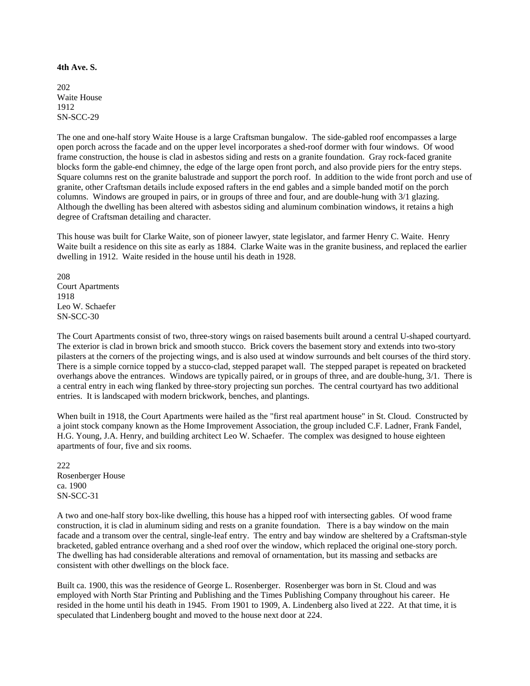**4th Ave. S.** 

202 Waite House 1912 SN-SCC-29

The one and one-half story Waite House is a large Craftsman bungalow. The side-gabled roof encompasses a large open porch across the facade and on the upper level incorporates a shed-roof dormer with four windows. Of wood frame construction, the house is clad in asbestos siding and rests on a granite foundation. Gray rock-faced granite blocks form the gable-end chimney, the edge of the large open front porch, and also provide piers for the entry steps. Square columns rest on the granite balustrade and support the porch roof. In addition to the wide front porch and use of granite, other Craftsman details include exposed rafters in the end gables and a simple banded motif on the porch columns. Windows are grouped in pairs, or in groups of three and four, and are double-hung with 3/1 glazing. Although the dwelling has been altered with asbestos siding and aluminum combination windows, it retains a high degree of Craftsman detailing and character.

This house was built for Clarke Waite, son of pioneer lawyer, state legislator, and farmer Henry C. Waite. Henry Waite built a residence on this site as early as 1884. Clarke Waite was in the granite business, and replaced the earlier dwelling in 1912. Waite resided in the house until his death in 1928.

208 Court Apartments 1918 Leo W. Schaefer SN-SCC-30

The Court Apartments consist of two, three-story wings on raised basements built around a central U-shaped courtyard. The exterior is clad in brown brick and smooth stucco. Brick covers the basement story and extends into two-story pilasters at the corners of the projecting wings, and is also used at window surrounds and belt courses of the third story. There is a simple cornice topped by a stucco-clad, stepped parapet wall. The stepped parapet is repeated on bracketed overhangs above the entrances. Windows are typically paired, or in groups of three, and are double-hung, 3/1. There is a central entry in each wing flanked by three-story projecting sun porches. The central courtyard has two additional entries. It is landscaped with modern brickwork, benches, and plantings.

When built in 1918, the Court Apartments were hailed as the "first real apartment house" in St. Cloud. Constructed by a joint stock company known as the Home Improvement Association, the group included C.F. Ladner, Frank Fandel, H.G. Young, J.A. Henry, and building architect Leo W. Schaefer. The complex was designed to house eighteen apartments of four, five and six rooms.

222 Rosenberger House ca. 1900 SN-SCC-31

A two and one-half story box-like dwelling, this house has a hipped roof with intersecting gables. Of wood frame construction, it is clad in aluminum siding and rests on a granite foundation. There is a bay window on the main facade and a transom over the central, single-leaf entry. The entry and bay window are sheltered by a Craftsman-style bracketed, gabled entrance overhang and a shed roof over the window, which replaced the original one-story porch. The dwelling has had considerable alterations and removal of ornamentation, but its massing and setbacks are consistent with other dwellings on the block face.

Built ca. 1900, this was the residence of George L. Rosenberger. Rosenberger was born in St. Cloud and was employed with North Star Printing and Publishing and the Times Publishing Company throughout his career. He resided in the home until his death in 1945. From 1901 to 1909, A. Lindenberg also lived at 222. At that time, it is speculated that Lindenberg bought and moved to the house next door at 224.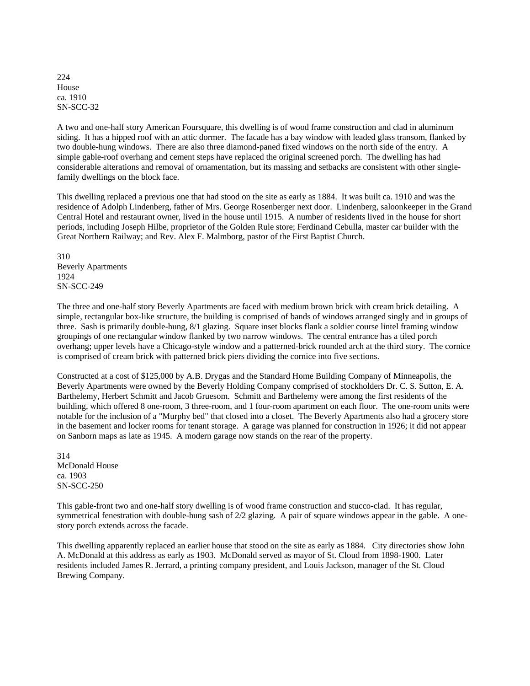224 House ca. 1910 SN-SCC-32

A two and one-half story American Foursquare, this dwelling is of wood frame construction and clad in aluminum siding. It has a hipped roof with an attic dormer. The facade has a bay window with leaded glass transom, flanked by two double-hung windows. There are also three diamond-paned fixed windows on the north side of the entry. A simple gable-roof overhang and cement steps have replaced the original screened porch. The dwelling has had considerable alterations and removal of ornamentation, but its massing and setbacks are consistent with other singlefamily dwellings on the block face.

This dwelling replaced a previous one that had stood on the site as early as 1884. It was built ca. 1910 and was the residence of Adolph Lindenberg, father of Mrs. George Rosenberger next door. Lindenberg, saloonkeeper in the Grand Central Hotel and restaurant owner, lived in the house until 1915. A number of residents lived in the house for short periods, including Joseph Hilbe, proprietor of the Golden Rule store; Ferdinand Cebulla, master car builder with the Great Northern Railway; and Rev. Alex F. Malmborg, pastor of the First Baptist Church.

310 Beverly Apartments 1924 SN-SCC-249

The three and one-half story Beverly Apartments are faced with medium brown brick with cream brick detailing. A simple, rectangular box-like structure, the building is comprised of bands of windows arranged singly and in groups of three. Sash is primarily double-hung, 8/1 glazing. Square inset blocks flank a soldier course lintel framing window groupings of one rectangular window flanked by two narrow windows. The central entrance has a tiled porch overhang; upper levels have a Chicago-style window and a patterned-brick rounded arch at the third story. The cornice is comprised of cream brick with patterned brick piers dividing the cornice into five sections.

Constructed at a cost of \$125,000 by A.B. Drygas and the Standard Home Building Company of Minneapolis, the Beverly Apartments were owned by the Beverly Holding Company comprised of stockholders Dr. C. S. Sutton, E. A. Barthelemy, Herbert Schmitt and Jacob Gruesom. Schmitt and Barthelemy were among the first residents of the building, which offered 8 one-room, 3 three-room, and 1 four-room apartment on each floor. The one-room units were notable for the inclusion of a "Murphy bed" that closed into a closet. The Beverly Apartments also had a grocery store in the basement and locker rooms for tenant storage. A garage was planned for construction in 1926; it did not appear on Sanborn maps as late as 1945. A modern garage now stands on the rear of the property.

314 McDonald House ca. 1903 SN-SCC-250

This gable-front two and one-half story dwelling is of wood frame construction and stucco-clad. It has regular, symmetrical fenestration with double-hung sash of 2/2 glazing. A pair of square windows appear in the gable. A onestory porch extends across the facade.

This dwelling apparently replaced an earlier house that stood on the site as early as 1884. City directories show John A. McDonald at this address as early as 1903. McDonald served as mayor of St. Cloud from 1898-1900. Later residents included James R. Jerrard, a printing company president, and Louis Jackson, manager of the St. Cloud Brewing Company.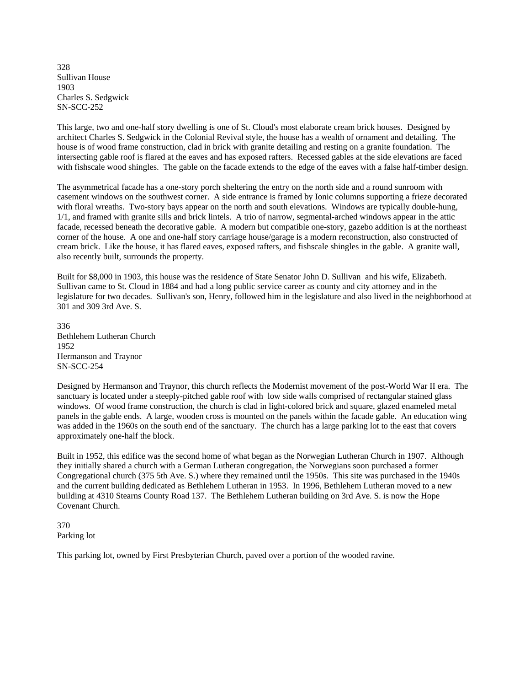328 Sullivan House 1903 Charles S. Sedgwick SN-SCC-252

This large, two and one-half story dwelling is one of St. Cloud's most elaborate cream brick houses. Designed by architect Charles S. Sedgwick in the Colonial Revival style, the house has a wealth of ornament and detailing. The house is of wood frame construction, clad in brick with granite detailing and resting on a granite foundation. The intersecting gable roof is flared at the eaves and has exposed rafters. Recessed gables at the side elevations are faced with fishscale wood shingles. The gable on the facade extends to the edge of the eaves with a false half-timber design.

The asymmetrical facade has a one-story porch sheltering the entry on the north side and a round sunroom with casement windows on the southwest corner. A side entrance is framed by Ionic columns supporting a frieze decorated with floral wreaths. Two-story bays appear on the north and south elevations. Windows are typically double-hung, 1/1, and framed with granite sills and brick lintels. A trio of narrow, segmental-arched windows appear in the attic facade, recessed beneath the decorative gable. A modern but compatible one-story, gazebo addition is at the northeast corner of the house. A one and one-half story carriage house/garage is a modern reconstruction, also constructed of cream brick. Like the house, it has flared eaves, exposed rafters, and fishscale shingles in the gable. A granite wall, also recently built, surrounds the property.

Built for \$8,000 in 1903, this house was the residence of State Senator John D. Sullivan and his wife, Elizabeth. Sullivan came to St. Cloud in 1884 and had a long public service career as county and city attorney and in the legislature for two decades. Sullivan's son, Henry, followed him in the legislature and also lived in the neighborhood at 301 and 309 3rd Ave. S.

336 Bethlehem Lutheran Church 1952 Hermanson and Traynor SN-SCC-254

Designed by Hermanson and Traynor, this church reflects the Modernist movement of the post-World War II era. The sanctuary is located under a steeply-pitched gable roof with low side walls comprised of rectangular stained glass windows. Of wood frame construction, the church is clad in light-colored brick and square, glazed enameled metal panels in the gable ends. A large, wooden cross is mounted on the panels within the facade gable. An education wing was added in the 1960s on the south end of the sanctuary. The church has a large parking lot to the east that covers approximately one-half the block.

Built in 1952, this edifice was the second home of what began as the Norwegian Lutheran Church in 1907. Although they initially shared a church with a German Lutheran congregation, the Norwegians soon purchased a former Congregational church (375 5th Ave. S.) where they remained until the 1950s. This site was purchased in the 1940s and the current building dedicated as Bethlehem Lutheran in 1953. In 1996, Bethlehem Lutheran moved to a new building at 4310 Stearns County Road 137. The Bethlehem Lutheran building on 3rd Ave. S. is now the Hope Covenant Church.

370 Parking lot

This parking lot, owned by First Presbyterian Church, paved over a portion of the wooded ravine.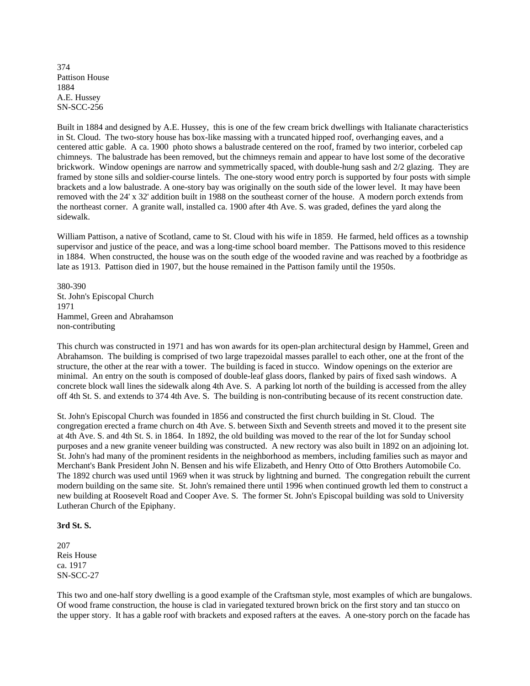374 Pattison House 1884 A.E. Hussey SN-SCC-256

Built in 1884 and designed by A.E. Hussey, this is one of the few cream brick dwellings with Italianate characteristics in St. Cloud. The two-story house has box-like massing with a truncated hipped roof, overhanging eaves, and a centered attic gable. A ca. 1900 photo shows a balustrade centered on the roof, framed by two interior, corbeled cap chimneys. The balustrade has been removed, but the chimneys remain and appear to have lost some of the decorative brickwork. Window openings are narrow and symmetrically spaced, with double-hung sash and 2/2 glazing. They are framed by stone sills and soldier-course lintels. The one-story wood entry porch is supported by four posts with simple brackets and a low balustrade. A one-story bay was originally on the south side of the lower level. It may have been removed with the 24' x 32' addition built in 1988 on the southeast corner of the house. A modern porch extends from the northeast corner. A granite wall, installed ca. 1900 after 4th Ave. S. was graded, defines the yard along the sidewalk.

William Pattison, a native of Scotland, came to St. Cloud with his wife in 1859. He farmed, held offices as a township supervisor and justice of the peace, and was a long-time school board member. The Pattisons moved to this residence in 1884. When constructed, the house was on the south edge of the wooded ravine and was reached by a footbridge as late as 1913. Pattison died in 1907, but the house remained in the Pattison family until the 1950s.

380-390 St. John's Episcopal Church 1971 Hammel, Green and Abrahamson non-contributing

This church was constructed in 1971 and has won awards for its open-plan architectural design by Hammel, Green and Abrahamson. The building is comprised of two large trapezoidal masses parallel to each other, one at the front of the structure, the other at the rear with a tower. The building is faced in stucco. Window openings on the exterior are minimal. An entry on the south is composed of double-leaf glass doors, flanked by pairs of fixed sash windows. A concrete block wall lines the sidewalk along 4th Ave. S. A parking lot north of the building is accessed from the alley off 4th St. S. and extends to 374 4th Ave. S. The building is non-contributing because of its recent construction date.

St. John's Episcopal Church was founded in 1856 and constructed the first church building in St. Cloud. The congregation erected a frame church on 4th Ave. S. between Sixth and Seventh streets and moved it to the present site at 4th Ave. S. and 4th St. S. in 1864. In 1892, the old building was moved to the rear of the lot for Sunday school purposes and a new granite veneer building was constructed. A new rectory was also built in 1892 on an adjoining lot. St. John's had many of the prominent residents in the neighborhood as members, including families such as mayor and Merchant's Bank President John N. Bensen and his wife Elizabeth, and Henry Otto of Otto Brothers Automobile Co. The 1892 church was used until 1969 when it was struck by lightning and burned. The congregation rebuilt the current modern building on the same site. St. John's remained there until 1996 when continued growth led them to construct a new building at Roosevelt Road and Cooper Ave. S. The former St. John's Episcopal building was sold to University Lutheran Church of the Epiphany.

#### **3rd St. S.**

207 Reis House ca. 1917 SN-SCC-27

This two and one-half story dwelling is a good example of the Craftsman style, most examples of which are bungalows. Of wood frame construction, the house is clad in variegated textured brown brick on the first story and tan stucco on the upper story. It has a gable roof with brackets and exposed rafters at the eaves. A one-story porch on the facade has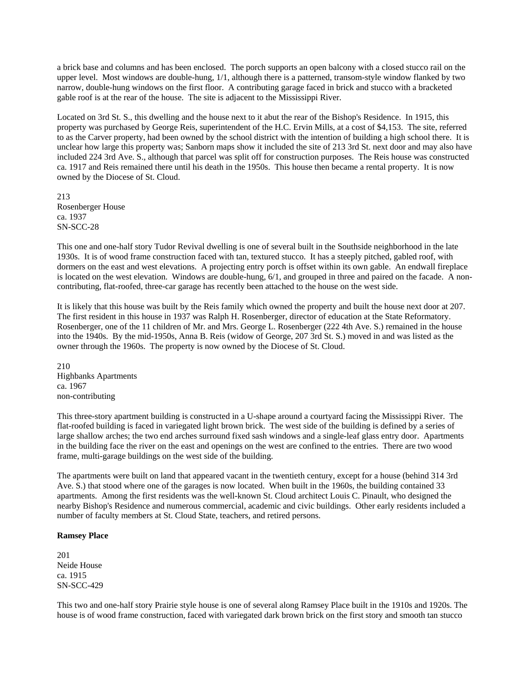a brick base and columns and has been enclosed. The porch supports an open balcony with a closed stucco rail on the upper level. Most windows are double-hung, 1/1, although there is a patterned, transom-style window flanked by two narrow, double-hung windows on the first floor. A contributing garage faced in brick and stucco with a bracketed gable roof is at the rear of the house. The site is adjacent to the Mississippi River.

Located on 3rd St. S., this dwelling and the house next to it abut the rear of the Bishop's Residence. In 1915, this property was purchased by George Reis, superintendent of the H.C. Ervin Mills, at a cost of \$4,153. The site, referred to as the Carver property, had been owned by the school district with the intention of building a high school there. It is unclear how large this property was; Sanborn maps show it included the site of 213 3rd St. next door and may also have included 224 3rd Ave. S., although that parcel was split off for construction purposes. The Reis house was constructed ca. 1917 and Reis remained there until his death in the 1950s. This house then became a rental property. It is now owned by the Diocese of St. Cloud.

213 Rosenberger House ca. 1937 SN-SCC-28

This one and one-half story Tudor Revival dwelling is one of several built in the Southside neighborhood in the late 1930s. It is of wood frame construction faced with tan, textured stucco. It has a steeply pitched, gabled roof, with dormers on the east and west elevations. A projecting entry porch is offset within its own gable. An endwall fireplace is located on the west elevation. Windows are double-hung, 6/1, and grouped in three and paired on the facade. A noncontributing, flat-roofed, three-car garage has recently been attached to the house on the west side.

It is likely that this house was built by the Reis family which owned the property and built the house next door at 207. The first resident in this house in 1937 was Ralph H. Rosenberger, director of education at the State Reformatory. Rosenberger, one of the 11 children of Mr. and Mrs. George L. Rosenberger (222 4th Ave. S.) remained in the house into the 1940s. By the mid-1950s, Anna B. Reis (widow of George, 207 3rd St. S.) moved in and was listed as the owner through the 1960s. The property is now owned by the Diocese of St. Cloud.

210 Highbanks Apartments ca. 1967 non-contributing

This three-story apartment building is constructed in a U-shape around a courtyard facing the Mississippi River. The flat-roofed building is faced in variegated light brown brick. The west side of the building is defined by a series of large shallow arches; the two end arches surround fixed sash windows and a single-leaf glass entry door. Apartments in the building face the river on the east and openings on the west are confined to the entries. There are two wood frame, multi-garage buildings on the west side of the building.

The apartments were built on land that appeared vacant in the twentieth century, except for a house (behind 314 3rd Ave. S.) that stood where one of the garages is now located. When built in the 1960s, the building contained 33 apartments. Among the first residents was the well-known St. Cloud architect Louis C. Pinault, who designed the nearby Bishop's Residence and numerous commercial, academic and civic buildings. Other early residents included a number of faculty members at St. Cloud State, teachers, and retired persons.

#### **Ramsey Place**

201 Neide House ca. 1915 SN-SCC-429

This two and one-half story Prairie style house is one of several along Ramsey Place built in the 1910s and 1920s. The house is of wood frame construction, faced with variegated dark brown brick on the first story and smooth tan stucco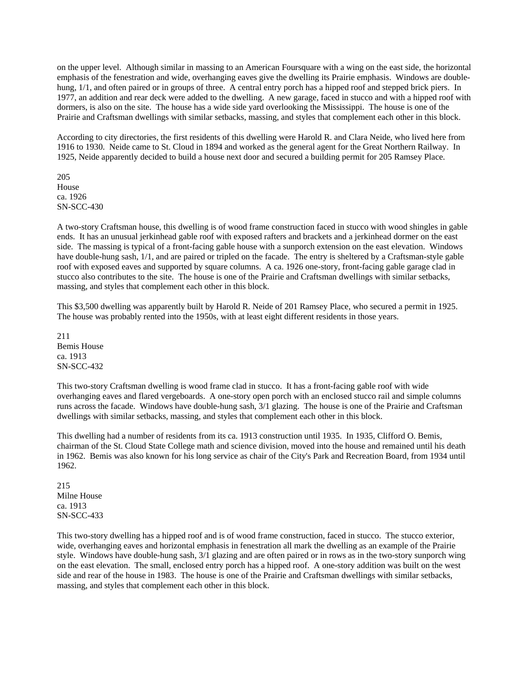on the upper level. Although similar in massing to an American Foursquare with a wing on the east side, the horizontal emphasis of the fenestration and wide, overhanging eaves give the dwelling its Prairie emphasis. Windows are doublehung,  $1/1$ , and often paired or in groups of three. A central entry porch has a hipped roof and stepped brick piers. In 1977, an addition and rear deck were added to the dwelling. A new garage, faced in stucco and with a hipped roof with dormers, is also on the site. The house has a wide side yard overlooking the Mississippi. The house is one of the Prairie and Craftsman dwellings with similar setbacks, massing, and styles that complement each other in this block.

According to city directories, the first residents of this dwelling were Harold R. and Clara Neide, who lived here from 1916 to 1930. Neide came to St. Cloud in 1894 and worked as the general agent for the Great Northern Railway. In 1925, Neide apparently decided to build a house next door and secured a building permit for 205 Ramsey Place.

205 House ca. 1926 SN-SCC-430

A two-story Craftsman house, this dwelling is of wood frame construction faced in stucco with wood shingles in gable ends. It has an unusual jerkinhead gable roof with exposed rafters and brackets and a jerkinhead dormer on the east side. The massing is typical of a front-facing gable house with a sunporch extension on the east elevation. Windows have double-hung sash, 1/1, and are paired or tripled on the facade. The entry is sheltered by a Craftsman-style gable roof with exposed eaves and supported by square columns. A ca. 1926 one-story, front-facing gable garage clad in stucco also contributes to the site. The house is one of the Prairie and Craftsman dwellings with similar setbacks, massing, and styles that complement each other in this block.

This \$3,500 dwelling was apparently built by Harold R. Neide of 201 Ramsey Place, who secured a permit in 1925. The house was probably rented into the 1950s, with at least eight different residents in those years.

211 Bemis House ca. 1913 SN-SCC-432

This two-story Craftsman dwelling is wood frame clad in stucco. It has a front-facing gable roof with wide overhanging eaves and flared vergeboards. A one-story open porch with an enclosed stucco rail and simple columns runs across the facade. Windows have double-hung sash, 3/1 glazing. The house is one of the Prairie and Craftsman dwellings with similar setbacks, massing, and styles that complement each other in this block.

This dwelling had a number of residents from its ca. 1913 construction until 1935. In 1935, Clifford O. Bemis, chairman of the St. Cloud State College math and science division, moved into the house and remained until his death in 1962. Bemis was also known for his long service as chair of the City's Park and Recreation Board, from 1934 until 1962.

215 Milne House ca. 1913 SN-SCC-433

This two-story dwelling has a hipped roof and is of wood frame construction, faced in stucco. The stucco exterior, wide, overhanging eaves and horizontal emphasis in fenestration all mark the dwelling as an example of the Prairie style. Windows have double-hung sash, 3/1 glazing and are often paired or in rows as in the two-story sunporch wing on the east elevation. The small, enclosed entry porch has a hipped roof. A one-story addition was built on the west side and rear of the house in 1983. The house is one of the Prairie and Craftsman dwellings with similar setbacks, massing, and styles that complement each other in this block.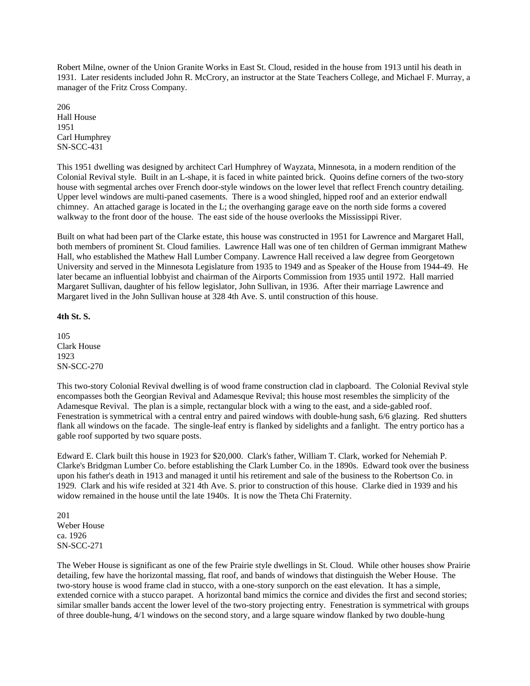Robert Milne, owner of the Union Granite Works in East St. Cloud, resided in the house from 1913 until his death in 1931. Later residents included John R. McCrory, an instructor at the State Teachers College, and Michael F. Murray, a manager of the Fritz Cross Company.

206 Hall House 1951 Carl Humphrey SN-SCC-431

This 1951 dwelling was designed by architect Carl Humphrey of Wayzata, Minnesota, in a modern rendition of the Colonial Revival style. Built in an L-shape, it is faced in white painted brick. Quoins define corners of the two-story house with segmental arches over French door-style windows on the lower level that reflect French country detailing. Upper level windows are multi-paned casements. There is a wood shingled, hipped roof and an exterior endwall chimney. An attached garage is located in the L; the overhanging garage eave on the north side forms a covered walkway to the front door of the house. The east side of the house overlooks the Mississippi River.

Built on what had been part of the Clarke estate, this house was constructed in 1951 for Lawrence and Margaret Hall, both members of prominent St. Cloud families. Lawrence Hall was one of ten children of German immigrant Mathew Hall, who established the Mathew Hall Lumber Company. Lawrence Hall received a law degree from Georgetown University and served in the Minnesota Legislature from 1935 to 1949 and as Speaker of the House from 1944-49. He later became an influential lobbyist and chairman of the Airports Commission from 1935 until 1972. Hall married Margaret Sullivan, daughter of his fellow legislator, John Sullivan, in 1936. After their marriage Lawrence and Margaret lived in the John Sullivan house at 328 4th Ave. S. until construction of this house.

### **4th St. S.**

105 Clark House 1923 SN-SCC-270

This two-story Colonial Revival dwelling is of wood frame construction clad in clapboard. The Colonial Revival style encompasses both the Georgian Revival and Adamesque Revival; this house most resembles the simplicity of the Adamesque Revival. The plan is a simple, rectangular block with a wing to the east, and a side-gabled roof. Fenestration is symmetrical with a central entry and paired windows with double-hung sash, 6/6 glazing. Red shutters flank all windows on the facade. The single-leaf entry is flanked by sidelights and a fanlight. The entry portico has a gable roof supported by two square posts.

Edward E. Clark built this house in 1923 for \$20,000. Clark's father, William T. Clark, worked for Nehemiah P. Clarke's Bridgman Lumber Co. before establishing the Clark Lumber Co. in the 1890s. Edward took over the business upon his father's death in 1913 and managed it until his retirement and sale of the business to the Robertson Co. in 1929. Clark and his wife resided at 321 4th Ave. S. prior to construction of this house. Clarke died in 1939 and his widow remained in the house until the late 1940s. It is now the Theta Chi Fraternity.

201 Weber House ca. 1926 SN-SCC-271

The Weber House is significant as one of the few Prairie style dwellings in St. Cloud. While other houses show Prairie detailing, few have the horizontal massing, flat roof, and bands of windows that distinguish the Weber House. The two-story house is wood frame clad in stucco, with a one-story sunporch on the east elevation. It has a simple, extended cornice with a stucco parapet. A horizontal band mimics the cornice and divides the first and second stories; similar smaller bands accent the lower level of the two-story projecting entry. Fenestration is symmetrical with groups of three double-hung, 4/1 windows on the second story, and a large square window flanked by two double-hung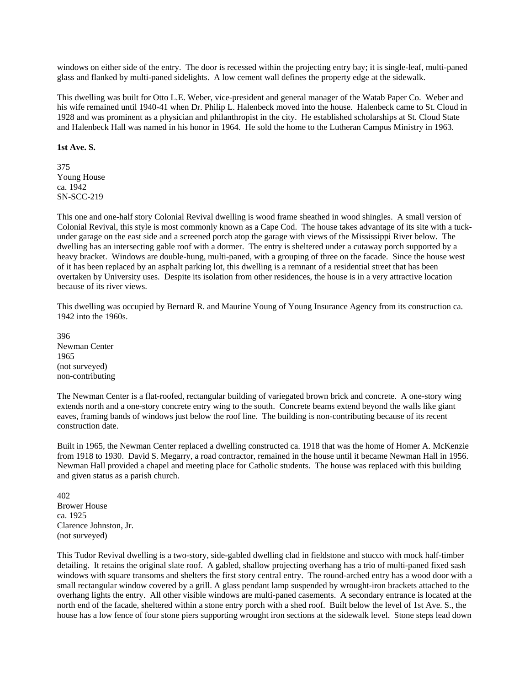windows on either side of the entry. The door is recessed within the projecting entry bay; it is single-leaf, multi-paned glass and flanked by multi-paned sidelights. A low cement wall defines the property edge at the sidewalk.

This dwelling was built for Otto L.E. Weber, vice-president and general manager of the Watab Paper Co. Weber and his wife remained until 1940-41 when Dr. Philip L. Halenbeck moved into the house. Halenbeck came to St. Cloud in 1928 and was prominent as a physician and philanthropist in the city. He established scholarships at St. Cloud State and Halenbeck Hall was named in his honor in 1964. He sold the home to the Lutheran Campus Ministry in 1963.

#### **1st Ave. S.**

375 Young House ca. 1942 SN-SCC-219

This one and one-half story Colonial Revival dwelling is wood frame sheathed in wood shingles. A small version of Colonial Revival, this style is most commonly known as a Cape Cod. The house takes advantage of its site with a tuckunder garage on the east side and a screened porch atop the garage with views of the Mississippi River below. The dwelling has an intersecting gable roof with a dormer. The entry is sheltered under a cutaway porch supported by a heavy bracket. Windows are double-hung, multi-paned, with a grouping of three on the facade. Since the house west of it has been replaced by an asphalt parking lot, this dwelling is a remnant of a residential street that has been overtaken by University uses. Despite its isolation from other residences, the house is in a very attractive location because of its river views.

This dwelling was occupied by Bernard R. and Maurine Young of Young Insurance Agency from its construction ca. 1942 into the 1960s.

396 Newman Center 1965 (not surveyed) non-contributing

The Newman Center is a flat-roofed, rectangular building of variegated brown brick and concrete. A one-story wing extends north and a one-story concrete entry wing to the south. Concrete beams extend beyond the walls like giant eaves, framing bands of windows just below the roof line. The building is non-contributing because of its recent construction date.

Built in 1965, the Newman Center replaced a dwelling constructed ca. 1918 that was the home of Homer A. McKenzie from 1918 to 1930. David S. Megarry, a road contractor, remained in the house until it became Newman Hall in 1956. Newman Hall provided a chapel and meeting place for Catholic students. The house was replaced with this building and given status as a parish church.

402 Brower House ca. 1925 Clarence Johnston, Jr. (not surveyed)

This Tudor Revival dwelling is a two-story, side-gabled dwelling clad in fieldstone and stucco with mock half-timber detailing. It retains the original slate roof. A gabled, shallow projecting overhang has a trio of multi-paned fixed sash windows with square transoms and shelters the first story central entry. The round-arched entry has a wood door with a small rectangular window covered by a grill. A glass pendant lamp suspended by wrought-iron brackets attached to the overhang lights the entry. All other visible windows are multi-paned casements. A secondary entrance is located at the north end of the facade, sheltered within a stone entry porch with a shed roof. Built below the level of 1st Ave. S., the house has a low fence of four stone piers supporting wrought iron sections at the sidewalk level. Stone steps lead down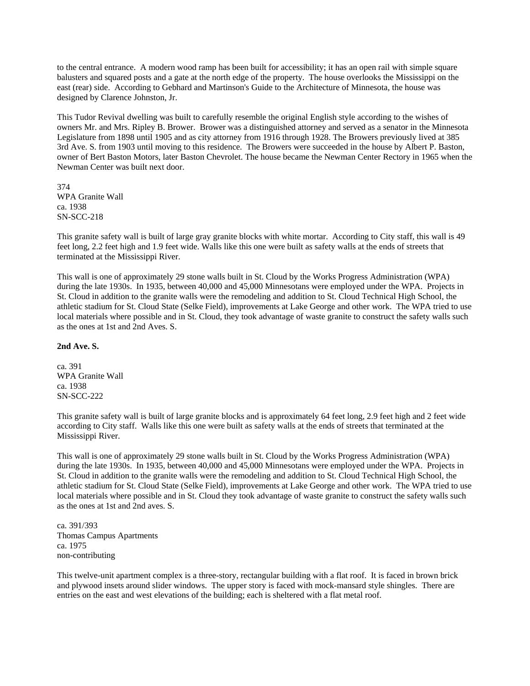to the central entrance. A modern wood ramp has been built for accessibility; it has an open rail with simple square balusters and squared posts and a gate at the north edge of the property. The house overlooks the Mississippi on the east (rear) side. According to Gebhard and Martinson's Guide to the Architecture of Minnesota, the house was designed by Clarence Johnston, Jr.

This Tudor Revival dwelling was built to carefully resemble the original English style according to the wishes of owners Mr. and Mrs. Ripley B. Brower. Brower was a distinguished attorney and served as a senator in the Minnesota Legislature from 1898 until 1905 and as city attorney from 1916 through 1928. The Browers previously lived at 385 3rd Ave. S. from 1903 until moving to this residence. The Browers were succeeded in the house by Albert P. Baston, owner of Bert Baston Motors, later Baston Chevrolet. The house became the Newman Center Rectory in 1965 when the Newman Center was built next door.

374 WPA Granite Wall ca. 1938 SN-SCC-218

This granite safety wall is built of large gray granite blocks with white mortar. According to City staff, this wall is 49 feet long, 2.2 feet high and 1.9 feet wide. Walls like this one were built as safety walls at the ends of streets that terminated at the Mississippi River.

This wall is one of approximately 29 stone walls built in St. Cloud by the Works Progress Administration (WPA) during the late 1930s. In 1935, between 40,000 and 45,000 Minnesotans were employed under the WPA. Projects in St. Cloud in addition to the granite walls were the remodeling and addition to St. Cloud Technical High School, the athletic stadium for St. Cloud State (Selke Field), improvements at Lake George and other work. The WPA tried to use local materials where possible and in St. Cloud, they took advantage of waste granite to construct the safety walls such as the ones at 1st and 2nd Aves. S.

#### **2nd Ave. S.**

ca. 391 WPA Granite Wall ca. 1938 SN-SCC-222

This granite safety wall is built of large granite blocks and is approximately 64 feet long, 2.9 feet high and 2 feet wide according to City staff. Walls like this one were built as safety walls at the ends of streets that terminated at the Mississippi River.

This wall is one of approximately 29 stone walls built in St. Cloud by the Works Progress Administration (WPA) during the late 1930s. In 1935, between 40,000 and 45,000 Minnesotans were employed under the WPA. Projects in St. Cloud in addition to the granite walls were the remodeling and addition to St. Cloud Technical High School, the athletic stadium for St. Cloud State (Selke Field), improvements at Lake George and other work. The WPA tried to use local materials where possible and in St. Cloud they took advantage of waste granite to construct the safety walls such as the ones at 1st and 2nd aves. S.

ca. 391/393 Thomas Campus Apartments ca. 1975 non-contributing

This twelve-unit apartment complex is a three-story, rectangular building with a flat roof. It is faced in brown brick and plywood insets around slider windows. The upper story is faced with mock-mansard style shingles. There are entries on the east and west elevations of the building; each is sheltered with a flat metal roof.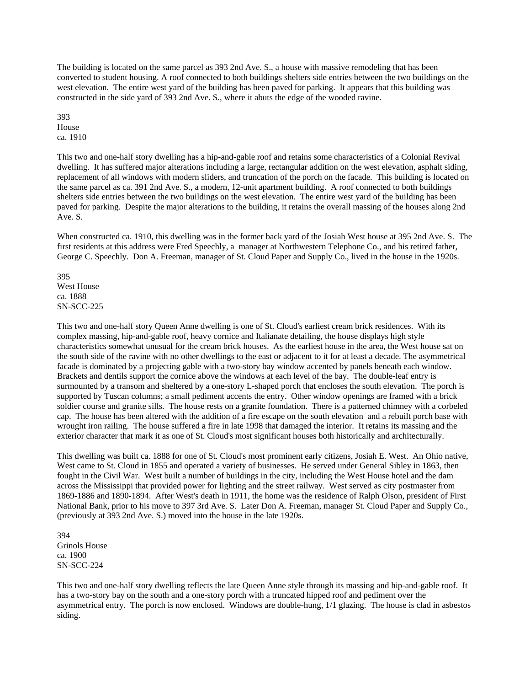The building is located on the same parcel as 393 2nd Ave. S., a house with massive remodeling that has been converted to student housing. A roof connected to both buildings shelters side entries between the two buildings on the west elevation. The entire west yard of the building has been paved for parking. It appears that this building was constructed in the side yard of 393 2nd Ave. S., where it abuts the edge of the wooded ravine.

393 House ca. 1910

This two and one-half story dwelling has a hip-and-gable roof and retains some characteristics of a Colonial Revival dwelling. It has suffered major alterations including a large, rectangular addition on the west elevation, asphalt siding, replacement of all windows with modern sliders, and truncation of the porch on the facade. This building is located on the same parcel as ca. 391 2nd Ave. S., a modern, 12-unit apartment building. A roof connected to both buildings shelters side entries between the two buildings on the west elevation. The entire west yard of the building has been paved for parking. Despite the major alterations to the building, it retains the overall massing of the houses along 2nd Ave. S.

When constructed ca. 1910, this dwelling was in the former back yard of the Josiah West house at 395 2nd Ave. S. The first residents at this address were Fred Speechly, a manager at Northwestern Telephone Co., and his retired father, George C. Speechly. Don A. Freeman, manager of St. Cloud Paper and Supply Co., lived in the house in the 1920s.

395 West House ca. 1888 SN-SCC-225

This two and one-half story Queen Anne dwelling is one of St. Cloud's earliest cream brick residences. With its complex massing, hip-and-gable roof, heavy cornice and Italianate detailing, the house displays high style characteristics somewhat unusual for the cream brick houses. As the earliest house in the area, the West house sat on the south side of the ravine with no other dwellings to the east or adjacent to it for at least a decade. The asymmetrical facade is dominated by a projecting gable with a two-story bay window accented by panels beneath each window. Brackets and dentils support the cornice above the windows at each level of the bay. The double-leaf entry is surmounted by a transom and sheltered by a one-story L-shaped porch that encloses the south elevation. The porch is supported by Tuscan columns; a small pediment accents the entry. Other window openings are framed with a brick soldier course and granite sills. The house rests on a granite foundation. There is a patterned chimney with a corbeled cap. The house has been altered with the addition of a fire escape on the south elevation and a rebuilt porch base with wrought iron railing. The house suffered a fire in late 1998 that damaged the interior. It retains its massing and the exterior character that mark it as one of St. Cloud's most significant houses both historically and architecturally.

This dwelling was built ca. 1888 for one of St. Cloud's most prominent early citizens, Josiah E. West. An Ohio native, West came to St. Cloud in 1855 and operated a variety of businesses. He served under General Sibley in 1863, then fought in the Civil War. West built a number of buildings in the city, including the West House hotel and the dam across the Mississippi that provided power for lighting and the street railway. West served as city postmaster from 1869-1886 and 1890-1894. After West's death in 1911, the home was the residence of Ralph Olson, president of First National Bank, prior to his move to 397 3rd Ave. S. Later Don A. Freeman, manager St. Cloud Paper and Supply Co., (previously at 393 2nd Ave. S.) moved into the house in the late 1920s.

394 Grinols House ca. 1900 SN-SCC-224

This two and one-half story dwelling reflects the late Queen Anne style through its massing and hip-and-gable roof. It has a two-story bay on the south and a one-story porch with a truncated hipped roof and pediment over the asymmetrical entry. The porch is now enclosed. Windows are double-hung, 1/1 glazing. The house is clad in asbestos siding.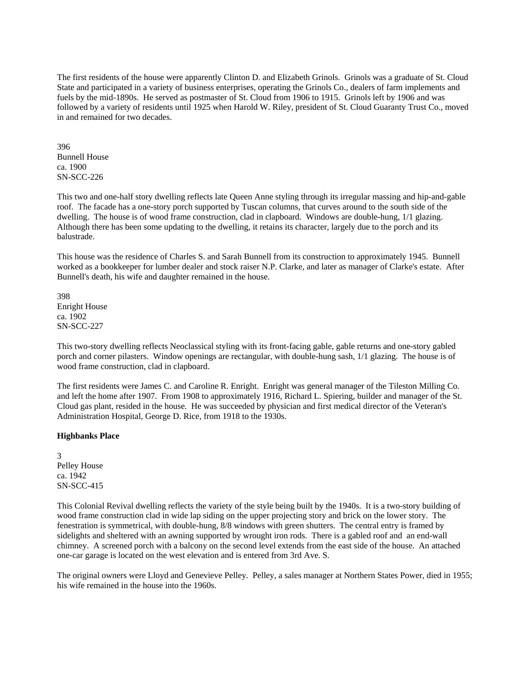The first residents of the house were apparently Clinton D. and Elizabeth Grinols. Grinols was a graduate of St. Cloud State and participated in a variety of business enterprises, operating the Grinols Co., dealers of farm implements and fuels by the mid-1890s. He served as postmaster of St. Cloud from 1906 to 1915. Grinols left by 1906 and was followed by a variety of residents until 1925 when Harold W. Riley, president of St. Cloud Guaranty Trust Co., moved in and remained for two decades.

396 Bunnell House ca. 1900 SN-SCC-226

This two and one-half story dwelling reflects late Queen Anne styling through its irregular massing and hip-and-gable roof. The facade has a one-story porch supported by Tuscan columns, that curves around to the south side of the dwelling. The house is of wood frame construction, clad in clapboard. Windows are double-hung, 1/1 glazing. Although there has been some updating to the dwelling, it retains its character, largely due to the porch and its balustrade.

This house was the residence of Charles S. and Sarah Bunnell from its construction to approximately 1945. Bunnell worked as a bookkeeper for lumber dealer and stock raiser N.P. Clarke, and later as manager of Clarke's estate. After Bunnell's death, his wife and daughter remained in the house.

398 Enright House ca. 1902 SN-SCC-227

This two-story dwelling reflects Neoclassical styling with its front-facing gable, gable returns and one-story gabled porch and corner pilasters. Window openings are rectangular, with double-hung sash, 1/1 glazing. The house is of wood frame construction, clad in clapboard.

The first residents were James C. and Caroline R. Enright. Enright was general manager of the Tileston Milling Co. and left the home after 1907. From 1908 to approximately 1916, Richard L. Spiering, builder and manager of the St. Cloud gas plant, resided in the house. He was succeeded by physician and first medical director of the Veteran's Administration Hospital, George D. Rice, from 1918 to the 1930s.

#### **Highbanks Place**

3 Pelley House ca. 1942 SN-SCC-415

This Colonial Revival dwelling reflects the variety of the style being built by the 1940s. It is a two-story building of wood frame construction clad in wide lap siding on the upper projecting story and brick on the lower story. The fenestration is symmetrical, with double-hung, 8/8 windows with green shutters. The central entry is framed by sidelights and sheltered with an awning supported by wrought iron rods. There is a gabled roof and an end-wall chimney. A screened porch with a balcony on the second level extends from the east side of the house. An attached one-car garage is located on the west elevation and is entered from 3rd Ave. S.

The original owners were Lloyd and Genevieve Pelley. Pelley, a sales manager at Northern States Power, died in 1955; his wife remained in the house into the 1960s.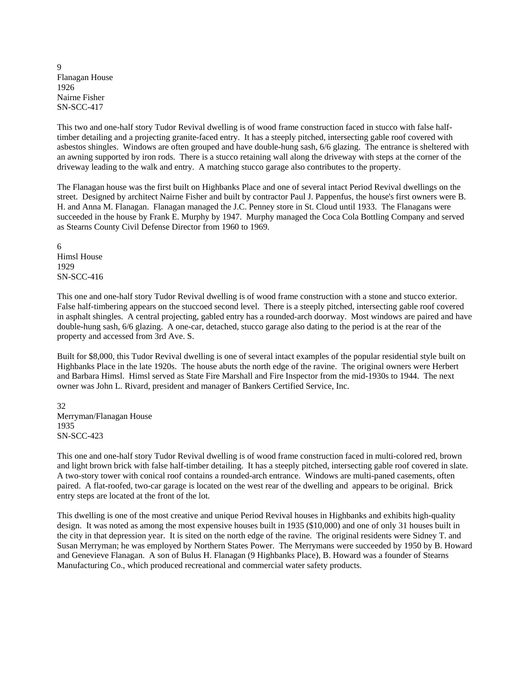9 Flanagan House 1926 Nairne Fisher SN-SCC-417

This two and one-half story Tudor Revival dwelling is of wood frame construction faced in stucco with false halftimber detailing and a projecting granite-faced entry. It has a steeply pitched, intersecting gable roof covered with asbestos shingles. Windows are often grouped and have double-hung sash, 6/6 glazing. The entrance is sheltered with an awning supported by iron rods. There is a stucco retaining wall along the driveway with steps at the corner of the driveway leading to the walk and entry. A matching stucco garage also contributes to the property.

The Flanagan house was the first built on Highbanks Place and one of several intact Period Revival dwellings on the street. Designed by architect Nairne Fisher and built by contractor Paul J. Pappenfus, the house's first owners were B. H. and Anna M. Flanagan. Flanagan managed the J.C. Penney store in St. Cloud until 1933. The Flanagans were succeeded in the house by Frank E. Murphy by 1947. Murphy managed the Coca Cola Bottling Company and served as Stearns County Civil Defense Director from 1960 to 1969.

6 Himsl House 1929 SN-SCC-416

This one and one-half story Tudor Revival dwelling is of wood frame construction with a stone and stucco exterior. False half-timbering appears on the stuccoed second level. There is a steeply pitched, intersecting gable roof covered in asphalt shingles. A central projecting, gabled entry has a rounded-arch doorway. Most windows are paired and have double-hung sash, 6/6 glazing. A one-car, detached, stucco garage also dating to the period is at the rear of the property and accessed from 3rd Ave. S.

Built for \$8,000, this Tudor Revival dwelling is one of several intact examples of the popular residential style built on Highbanks Place in the late 1920s. The house abuts the north edge of the ravine. The original owners were Herbert and Barbara Himsl. Himsl served as State Fire Marshall and Fire Inspector from the mid-1930s to 1944. The next owner was John L. Rivard, president and manager of Bankers Certified Service, Inc.

32 Merryman/Flanagan House 1935 SN-SCC-423

This one and one-half story Tudor Revival dwelling is of wood frame construction faced in multi-colored red, brown and light brown brick with false half-timber detailing. It has a steeply pitched, intersecting gable roof covered in slate. A two-story tower with conical roof contains a rounded-arch entrance. Windows are multi-paned casements, often paired. A flat-roofed, two-car garage is located on the west rear of the dwelling and appears to be original. Brick entry steps are located at the front of the lot.

This dwelling is one of the most creative and unique Period Revival houses in Highbanks and exhibits high-quality design. It was noted as among the most expensive houses built in 1935 (\$10,000) and one of only 31 houses built in the city in that depression year. It is sited on the north edge of the ravine. The original residents were Sidney T. and Susan Merryman; he was employed by Northern States Power. The Merrymans were succeeded by 1950 by B. Howard and Genevieve Flanagan. A son of Bulus H. Flanagan (9 Highbanks Place), B. Howard was a founder of Stearns Manufacturing Co., which produced recreational and commercial water safety products.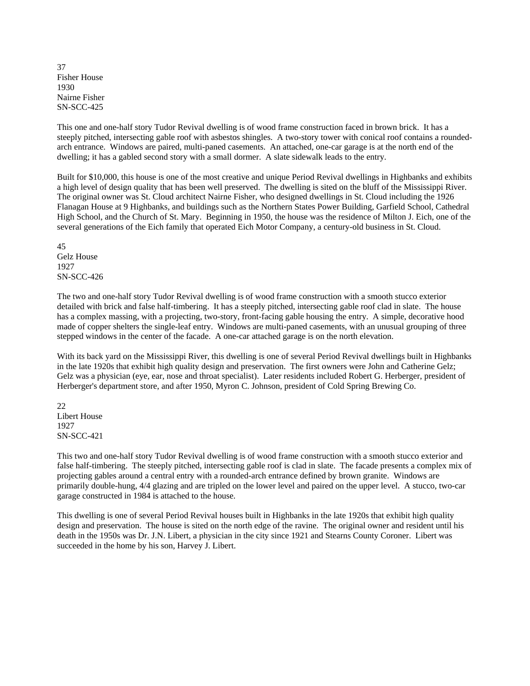37 Fisher House 1930 Nairne Fisher SN-SCC-425

This one and one-half story Tudor Revival dwelling is of wood frame construction faced in brown brick. It has a steeply pitched, intersecting gable roof with asbestos shingles. A two-story tower with conical roof contains a roundedarch entrance. Windows are paired, multi-paned casements. An attached, one-car garage is at the north end of the dwelling; it has a gabled second story with a small dormer. A slate sidewalk leads to the entry.

Built for \$10,000, this house is one of the most creative and unique Period Revival dwellings in Highbanks and exhibits a high level of design quality that has been well preserved. The dwelling is sited on the bluff of the Mississippi River. The original owner was St. Cloud architect Nairne Fisher, who designed dwellings in St. Cloud including the 1926 Flanagan House at 9 Highbanks, and buildings such as the Northern States Power Building, Garfield School, Cathedral High School, and the Church of St. Mary. Beginning in 1950, the house was the residence of Milton J. Eich, one of the several generations of the Eich family that operated Eich Motor Company, a century-old business in St. Cloud.

45 Gelz House 1927 SN-SCC-426

The two and one-half story Tudor Revival dwelling is of wood frame construction with a smooth stucco exterior detailed with brick and false half-timbering. It has a steeply pitched, intersecting gable roof clad in slate. The house has a complex massing, with a projecting, two-story, front-facing gable housing the entry. A simple, decorative hood made of copper shelters the single-leaf entry. Windows are multi-paned casements, with an unusual grouping of three stepped windows in the center of the facade. A one-car attached garage is on the north elevation.

With its back yard on the Mississippi River, this dwelling is one of several Period Revival dwellings built in Highbanks in the late 1920s that exhibit high quality design and preservation. The first owners were John and Catherine Gelz; Gelz was a physician (eye, ear, nose and throat specialist). Later residents included Robert G. Herberger, president of Herberger's department store, and after 1950, Myron C. Johnson, president of Cold Spring Brewing Co.

22 Libert House 1927 SN-SCC-421

This two and one-half story Tudor Revival dwelling is of wood frame construction with a smooth stucco exterior and false half-timbering. The steeply pitched, intersecting gable roof is clad in slate. The facade presents a complex mix of projecting gables around a central entry with a rounded-arch entrance defined by brown granite. Windows are primarily double-hung, 4/4 glazing and are tripled on the lower level and paired on the upper level. A stucco, two-car garage constructed in 1984 is attached to the house.

This dwelling is one of several Period Revival houses built in Highbanks in the late 1920s that exhibit high quality design and preservation. The house is sited on the north edge of the ravine. The original owner and resident until his death in the 1950s was Dr. J.N. Libert, a physician in the city since 1921 and Stearns County Coroner. Libert was succeeded in the home by his son, Harvey J. Libert.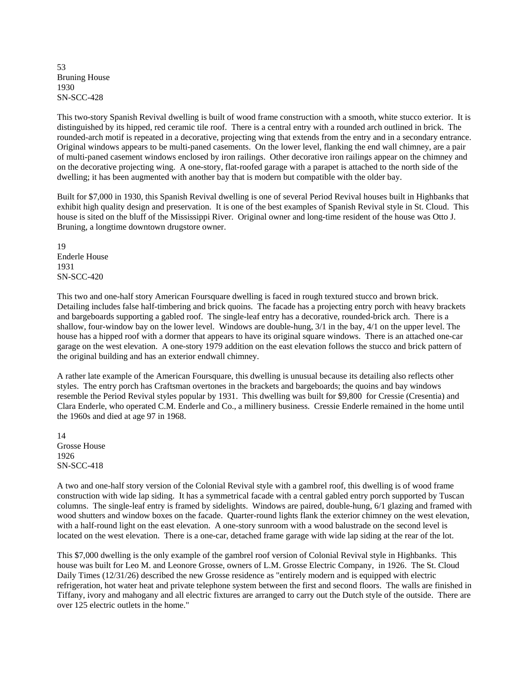53 Bruning House 1930 SN-SCC-428

This two-story Spanish Revival dwelling is built of wood frame construction with a smooth, white stucco exterior. It is distinguished by its hipped, red ceramic tile roof. There is a central entry with a rounded arch outlined in brick. The rounded-arch motif is repeated in a decorative, projecting wing that extends from the entry and in a secondary entrance. Original windows appears to be multi-paned casements. On the lower level, flanking the end wall chimney, are a pair of multi-paned casement windows enclosed by iron railings. Other decorative iron railings appear on the chimney and on the decorative projecting wing. A one-story, flat-roofed garage with a parapet is attached to the north side of the dwelling; it has been augmented with another bay that is modern but compatible with the older bay.

Built for \$7,000 in 1930, this Spanish Revival dwelling is one of several Period Revival houses built in Highbanks that exhibit high quality design and preservation. It is one of the best examples of Spanish Revival style in St. Cloud. This house is sited on the bluff of the Mississippi River. Original owner and long-time resident of the house was Otto J. Bruning, a longtime downtown drugstore owner.

19 Enderle House 1931 SN-SCC-420

This two and one-half story American Foursquare dwelling is faced in rough textured stucco and brown brick. Detailing includes false half-timbering and brick quoins. The facade has a projecting entry porch with heavy brackets and bargeboards supporting a gabled roof. The single-leaf entry has a decorative, rounded-brick arch. There is a shallow, four-window bay on the lower level. Windows are double-hung, 3/1 in the bay, 4/1 on the upper level. The house has a hipped roof with a dormer that appears to have its original square windows. There is an attached one-car garage on the west elevation. A one-story 1979 addition on the east elevation follows the stucco and brick pattern of the original building and has an exterior endwall chimney.

A rather late example of the American Foursquare, this dwelling is unusual because its detailing also reflects other styles. The entry porch has Craftsman overtones in the brackets and bargeboards; the quoins and bay windows resemble the Period Revival styles popular by 1931. This dwelling was built for \$9,800 for Cressie (Cresentia) and Clara Enderle, who operated C.M. Enderle and Co., a millinery business. Cressie Enderle remained in the home until the 1960s and died at age 97 in 1968.

14 Grosse House 1926 SN-SCC-418

A two and one-half story version of the Colonial Revival style with a gambrel roof, this dwelling is of wood frame construction with wide lap siding. It has a symmetrical facade with a central gabled entry porch supported by Tuscan columns. The single-leaf entry is framed by sidelights. Windows are paired, double-hung, 6/1 glazing and framed with wood shutters and window boxes on the facade. Quarter-round lights flank the exterior chimney on the west elevation, with a half-round light on the east elevation. A one-story sunroom with a wood balustrade on the second level is located on the west elevation. There is a one-car, detached frame garage with wide lap siding at the rear of the lot.

This \$7,000 dwelling is the only example of the gambrel roof version of Colonial Revival style in Highbanks. This house was built for Leo M. and Leonore Grosse, owners of L.M. Grosse Electric Company, in 1926. The St. Cloud Daily Times (12/31/26) described the new Grosse residence as "entirely modern and is equipped with electric refrigeration, hot water heat and private telephone system between the first and second floors. The walls are finished in Tiffany, ivory and mahogany and all electric fixtures are arranged to carry out the Dutch style of the outside. There are over 125 electric outlets in the home."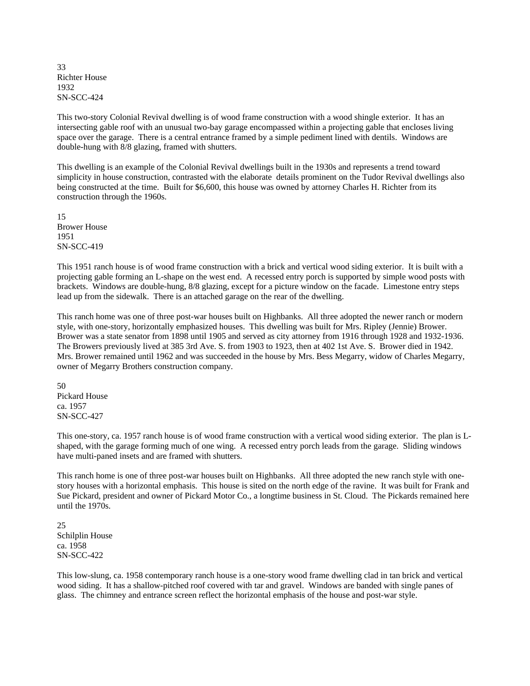33 Richter House 1932 SN-SCC-424

This two-story Colonial Revival dwelling is of wood frame construction with a wood shingle exterior. It has an intersecting gable roof with an unusual two-bay garage encompassed within a projecting gable that encloses living space over the garage. There is a central entrance framed by a simple pediment lined with dentils. Windows are double-hung with 8/8 glazing, framed with shutters.

This dwelling is an example of the Colonial Revival dwellings built in the 1930s and represents a trend toward simplicity in house construction, contrasted with the elaborate details prominent on the Tudor Revival dwellings also being constructed at the time. Built for \$6,600, this house was owned by attorney Charles H. Richter from its construction through the 1960s.

15 Brower House 1951 SN-SCC-419

This 1951 ranch house is of wood frame construction with a brick and vertical wood siding exterior. It is built with a projecting gable forming an L-shape on the west end. A recessed entry porch is supported by simple wood posts with brackets. Windows are double-hung, 8/8 glazing, except for a picture window on the facade. Limestone entry steps lead up from the sidewalk. There is an attached garage on the rear of the dwelling.

This ranch home was one of three post-war houses built on Highbanks. All three adopted the newer ranch or modern style, with one-story, horizontally emphasized houses. This dwelling was built for Mrs. Ripley (Jennie) Brower. Brower was a state senator from 1898 until 1905 and served as city attorney from 1916 through 1928 and 1932-1936. The Browers previously lived at 385 3rd Ave. S. from 1903 to 1923, then at 402 1st Ave. S. Brower died in 1942. Mrs. Brower remained until 1962 and was succeeded in the house by Mrs. Bess Megarry, widow of Charles Megarry, owner of Megarry Brothers construction company.

50 Pickard House ca. 1957 SN-SCC-427

This one-story, ca. 1957 ranch house is of wood frame construction with a vertical wood siding exterior. The plan is Lshaped, with the garage forming much of one wing. A recessed entry porch leads from the garage. Sliding windows have multi-paned insets and are framed with shutters.

This ranch home is one of three post-war houses built on Highbanks. All three adopted the new ranch style with onestory houses with a horizontal emphasis. This house is sited on the north edge of the ravine. It was built for Frank and Sue Pickard, president and owner of Pickard Motor Co., a longtime business in St. Cloud. The Pickards remained here until the 1970s.

25 Schilplin House ca. 1958 SN-SCC-422

This low-slung, ca. 1958 contemporary ranch house is a one-story wood frame dwelling clad in tan brick and vertical wood siding. It has a shallow-pitched roof covered with tar and gravel. Windows are banded with single panes of glass. The chimney and entrance screen reflect the horizontal emphasis of the house and post-war style.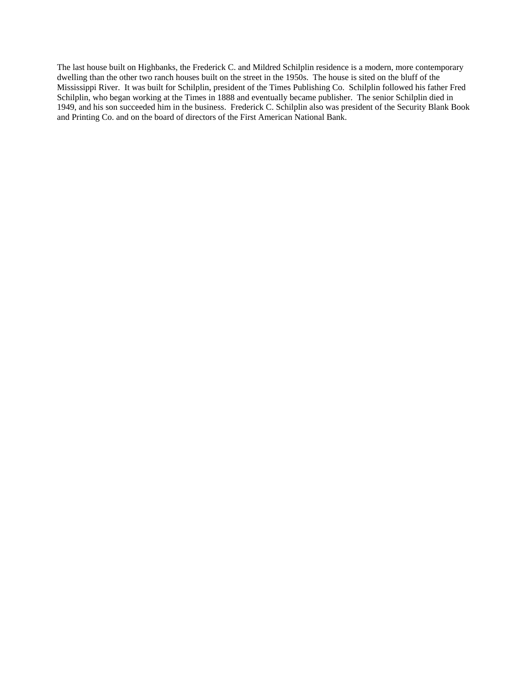The last house built on Highbanks, the Frederick C. and Mildred Schilplin residence is a modern, more contemporary dwelling than the other two ranch houses built on the street in the 1950s. The house is sited on the bluff of the Mississippi River. It was built for Schilplin, president of the Times Publishing Co. Schilplin followed his father Fred Schilplin, who began working at the Times in 1888 and eventually became publisher. The senior Schilplin died in 1949, and his son succeeded him in the business. Frederick C. Schilplin also was president of the Security Blank Book and Printing Co. and on the board of directors of the First American National Bank.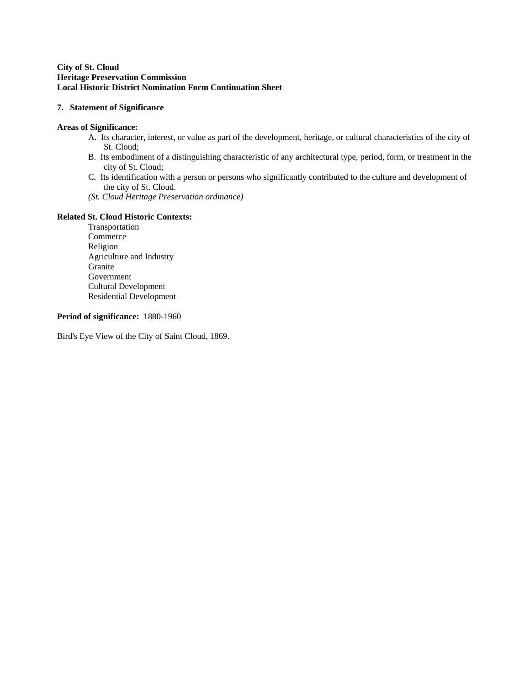#### **City of St. Cloud Heritage Preservation Commission Local Historic District Nomination Form Continuation Sheet**

#### **7. Statement of Significance**

#### **Areas of Significance:**

- A. Its character, interest, or value as part of the development, heritage, or cultural characteristics of the city of St. Cloud;
- B. Its embodiment of a distinguishing characteristic of any architectural type, period, form, or treatment in the city of St. Cloud;
- C. Its identification with a person or persons who significantly contributed to the culture and development of the city of St. Cloud.
- *(St. Cloud Heritage Preservation ordinance)*

### **Related St. Cloud Historic Contexts:**

 Transportation Commerce Religion Agriculture and Industry **Granite**  Government Cultural Development Residential Development

### **Period of significance:** 1880-1960

Bird's Eye View of the City of Saint Cloud, 1869.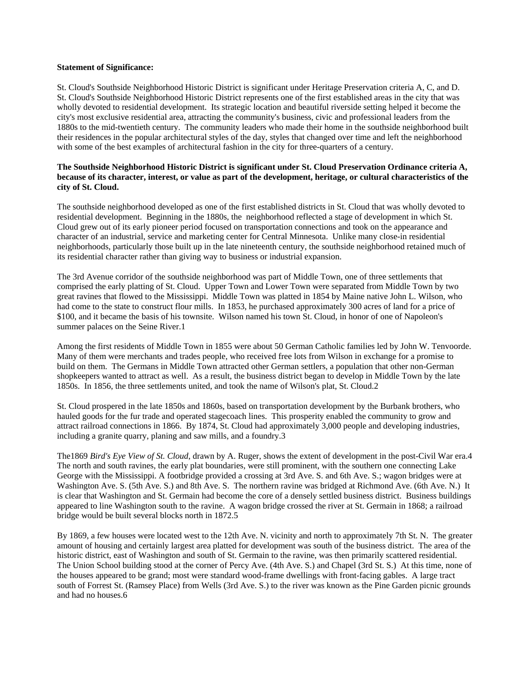#### **Statement of Significance:**

St. Cloud's Southside Neighborhood Historic District is significant under Heritage Preservation criteria A, C, and D. St. Cloud's Southside Neighborhood Historic District represents one of the first established areas in the city that was wholly devoted to residential development. Its strategic location and beautiful riverside setting helped it become the city's most exclusive residential area, attracting the community's business, civic and professional leaders from the 1880s to the mid-twentieth century. The community leaders who made their home in the southside neighborhood built their residences in the popular architectural styles of the day, styles that changed over time and left the neighborhood with some of the best examples of architectural fashion in the city for three-quarters of a century.

#### **The Southside Neighborhood Historic District is significant under St. Cloud Preservation Ordinance criteria A, because of its character, interest, or value as part of the development, heritage, or cultural characteristics of the city of St. Cloud.**

The southside neighborhood developed as one of the first established districts in St. Cloud that was wholly devoted to residential development. Beginning in the 1880s, the neighborhood reflected a stage of development in which St. Cloud grew out of its early pioneer period focused on transportation connections and took on the appearance and character of an industrial, service and marketing center for Central Minnesota. Unlike many close-in residential neighborhoods, particularly those built up in the late nineteenth century, the southside neighborhood retained much of its residential character rather than giving way to business or industrial expansion.

The 3rd Avenue corridor of the southside neighborhood was part of Middle Town, one of three settlements that comprised the early platting of St. Cloud. Upper Town and Lower Town were separated from Middle Town by two great ravines that flowed to the Mississippi. Middle Town was platted in 1854 by Maine native John L. Wilson, who had come to the state to construct flour mills. In 1853, he purchased approximately 300 acres of land for a price of \$100, and it became the basis of his townsite. Wilson named his town St. Cloud, in honor of one of Napoleon's summer palaces on the Seine River.1

Among the first residents of Middle Town in 1855 were about 50 German Catholic families led by John W. Tenvoorde. Many of them were merchants and trades people, who received free lots from Wilson in exchange for a promise to build on them. The Germans in Middle Town attracted other German settlers, a population that other non-German shopkeepers wanted to attract as well. As a result, the business district began to develop in Middle Town by the late 1850s. In 1856, the three settlements united, and took the name of Wilson's plat, St. Cloud.2

St. Cloud prospered in the late 1850s and 1860s, based on transportation development by the Burbank brothers, who hauled goods for the fur trade and operated stagecoach lines. This prosperity enabled the community to grow and attract railroad connections in 1866. By 1874, St. Cloud had approximately 3,000 people and developing industries, including a granite quarry, planing and saw mills, and a foundry.3

The1869 *Bird's Eye View of St. Cloud*, drawn by A. Ruger, shows the extent of development in the post-Civil War era.4 The north and south ravines, the early plat boundaries, were still prominent, with the southern one connecting Lake George with the Mississippi. A footbridge provided a crossing at 3rd Ave. S. and 6th Ave. S.; wagon bridges were at Washington Ave. S. (5th Ave. S.) and 8th Ave. S. The northern ravine was bridged at Richmond Ave. (6th Ave. N.) It is clear that Washington and St. Germain had become the core of a densely settled business district. Business buildings appeared to line Washington south to the ravine. A wagon bridge crossed the river at St. Germain in 1868; a railroad bridge would be built several blocks north in 1872.5

By 1869, a few houses were located west to the 12th Ave. N. vicinity and north to approximately 7th St. N. The greater amount of housing and certainly largest area platted for development was south of the business district. The area of the historic district, east of Washington and south of St. Germain to the ravine, was then primarily scattered residential. The Union School building stood at the corner of Percy Ave. (4th Ave. S.) and Chapel (3rd St. S.) At this time, none of the houses appeared to be grand; most were standard wood-frame dwellings with front-facing gables. A large tract south of Forrest St. (Ramsey Place) from Wells (3rd Ave. S.) to the river was known as the Pine Garden picnic grounds and had no houses.6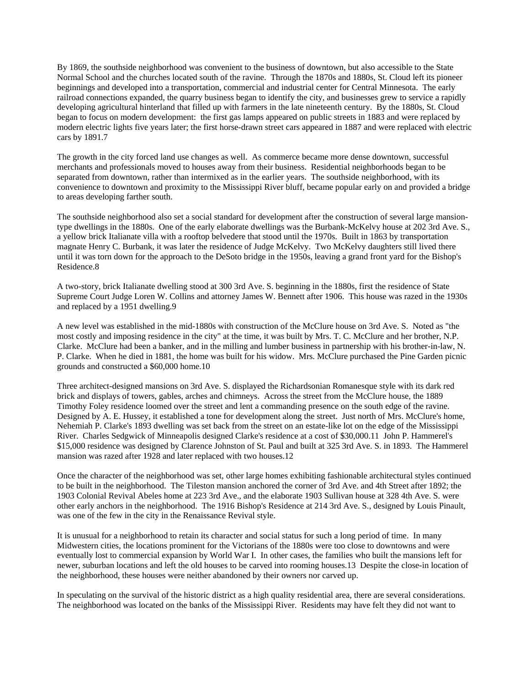By 1869, the southside neighborhood was convenient to the business of downtown, but also accessible to the State Normal School and the churches located south of the ravine. Through the 1870s and 1880s, St. Cloud left its pioneer beginnings and developed into a transportation, commercial and industrial center for Central Minnesota. The early railroad connections expanded, the quarry business began to identify the city, and businesses grew to service a rapidly developing agricultural hinterland that filled up with farmers in the late nineteenth century. By the 1880s, St. Cloud began to focus on modern development: the first gas lamps appeared on public streets in 1883 and were replaced by modern electric lights five years later; the first horse-drawn street cars appeared in 1887 and were replaced with electric cars by 1891.7

The growth in the city forced land use changes as well. As commerce became more dense downtown, successful merchants and professionals moved to houses away from their business. Residential neighborhoods began to be separated from downtown, rather than intermixed as in the earlier years. The southside neighborhood, with its convenience to downtown and proximity to the Mississippi River bluff, became popular early on and provided a bridge to areas developing farther south.

The southside neighborhood also set a social standard for development after the construction of several large mansiontype dwellings in the 1880s. One of the early elaborate dwellings was the Burbank-McKelvy house at 202 3rd Ave. S., a yellow brick Italianate villa with a rooftop belvedere that stood until the 1970s. Built in 1863 by transportation magnate Henry C. Burbank, it was later the residence of Judge McKelvy. Two McKelvy daughters still lived there until it was torn down for the approach to the DeSoto bridge in the 1950s, leaving a grand front yard for the Bishop's Residence.8

A two-story, brick Italianate dwelling stood at 300 3rd Ave. S. beginning in the 1880s, first the residence of State Supreme Court Judge Loren W. Collins and attorney James W. Bennett after 1906. This house was razed in the 1930s and replaced by a 1951 dwelling.9

A new level was established in the mid-1880s with construction of the McClure house on 3rd Ave. S. Noted as "the most costly and imposing residence in the city" at the time, it was built by Mrs. T. C. McClure and her brother, N.P. Clarke. McClure had been a banker, and in the milling and lumber business in partnership with his brother-in-law, N. P. Clarke. When he died in 1881, the home was built for his widow. Mrs. McClure purchased the Pine Garden picnic grounds and constructed a \$60,000 home.10

Three architect-designed mansions on 3rd Ave. S. displayed the Richardsonian Romanesque style with its dark red brick and displays of towers, gables, arches and chimneys. Across the street from the McClure house, the 1889 Timothy Foley residence loomed over the street and lent a commanding presence on the south edge of the ravine. Designed by A. E. Hussey, it established a tone for development along the street. Just north of Mrs. McClure's home, Nehemiah P. Clarke's 1893 dwelling was set back from the street on an estate-like lot on the edge of the Mississippi River. Charles Sedgwick of Minneapolis designed Clarke's residence at a cost of \$30,000.11 John P. Hammerel's \$15,000 residence was designed by Clarence Johnston of St. Paul and built at 325 3rd Ave. S. in 1893. The Hammerel mansion was razed after 1928 and later replaced with two houses.12

Once the character of the neighborhood was set, other large homes exhibiting fashionable architectural styles continued to be built in the neighborhood. The Tileston mansion anchored the corner of 3rd Ave. and 4th Street after 1892; the 1903 Colonial Revival Abeles home at 223 3rd Ave., and the elaborate 1903 Sullivan house at 328 4th Ave. S. were other early anchors in the neighborhood. The 1916 Bishop's Residence at 214 3rd Ave. S., designed by Louis Pinault, was one of the few in the city in the Renaissance Revival style.

It is unusual for a neighborhood to retain its character and social status for such a long period of time. In many Midwestern cities, the locations prominent for the Victorians of the 1880s were too close to downtowns and were eventually lost to commercial expansion by World War I. In other cases, the families who built the mansions left for newer, suburban locations and left the old houses to be carved into rooming houses.13 Despite the close-in location of the neighborhood, these houses were neither abandoned by their owners nor carved up.

In speculating on the survival of the historic district as a high quality residential area, there are several considerations. The neighborhood was located on the banks of the Mississippi River. Residents may have felt they did not want to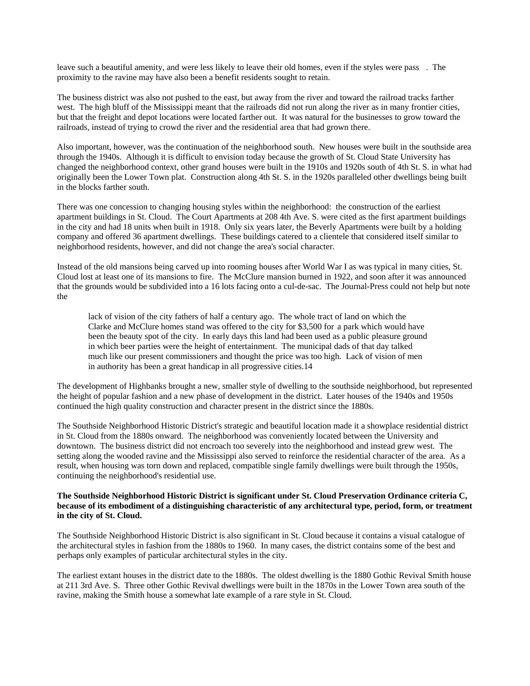leave such a beautiful amenity, and were less likely to leave their old homes, even if the styles were pass. The proximity to the ravine may have also been a benefit residents sought to retain.

The business district was also not pushed to the east, but away from the river and toward the railroad tracks farther west. The high bluff of the Mississippi meant that the railroads did not run along the river as in many frontier cities, but that the freight and depot locations were located farther out. It was natural for the businesses to grow toward the railroads, instead of trying to crowd the river and the residential area that had grown there.

Also important, however, was the continuation of the neighborhood south. New houses were built in the southside area through the 1940s. Although it is difficult to envision today because the growth of St. Cloud State University has changed the neighborhood context, other grand houses were built in the 1910s and 1920s south of 4th St. S. in what had originally been the Lower Town plat. Construction along 4th St. S. in the 1920s paralleled other dwellings being built in the blocks farther south.

There was one concession to changing housing styles within the neighborhood: the construction of the earliest apartment buildings in St. Cloud. The Court Apartments at 208 4th Ave. S. were cited as the first apartment buildings in the city and had 18 units when built in 1918. Only six years later, the Beverly Apartments were built by a holding company and offered 36 apartment dwellings. These buildings catered to a clientele that considered itself similar to neighborhood residents, however, and did not change the area's social character.

Instead of the old mansions being carved up into rooming houses after World War I as was typical in many cities, St. Cloud lost at least one of its mansions to fire. The McClure mansion burned in 1922, and soon after it was announced that the grounds would be subdivided into a 16 lots facing onto a cul-de-sac. The Journal-Press could not help but note the

lack of vision of the city fathers of half a century ago. The whole tract of land on which the Clarke and McClure homes stand was offered to the city for \$3,500 for a park which would have been the beauty spot of the city. In early days this land had been used as a public pleasure ground in which beer parties were the height of entertainment. The municipal dads of that day talked much like our present commissioners and thought the price was too high. Lack of vision of men in authority has been a great handicap in all progressive cities.14

The development of Highbanks brought a new, smaller style of dwelling to the southside neighborhood, but represented the height of popular fashion and a new phase of development in the district. Later houses of the 1940s and 1950s continued the high quality construction and character present in the district since the 1880s.

The Southside Neighborhood Historic District's strategic and beautiful location made it a showplace residential district in St. Cloud from the 1880s onward. The neighborhood was conveniently located between the University and downtown. The business district did not encroach too severely into the neighborhood and instead grew west. The setting along the wooded ravine and the Mississippi also served to reinforce the residential character of the area. As a result, when housing was torn down and replaced, compatible single family dwellings were built through the 1950s, continuing the neighborhood's residential use.

#### **The Southside Neighborhood Historic District is significant under St. Cloud Preservation Ordinance criteria C, because of its embodiment of a distinguishing characteristic of any architectural type, period, form, or treatment in the city of St. Cloud.**

The Southside Neighborhood Historic District is also significant in St. Cloud because it contains a visual catalogue of the architectural styles in fashion from the 1880s to 1960. In many cases, the district contains some of the best and perhaps only examples of particular architectural styles in the city.

The earliest extant houses in the district date to the 1880s. The oldest dwelling is the 1880 Gothic Revival Smith house at 211 3rd Ave. S. Three other Gothic Revival dwellings were built in the 1870s in the Lower Town area south of the ravine, making the Smith house a somewhat late example of a rare style in St. Cloud.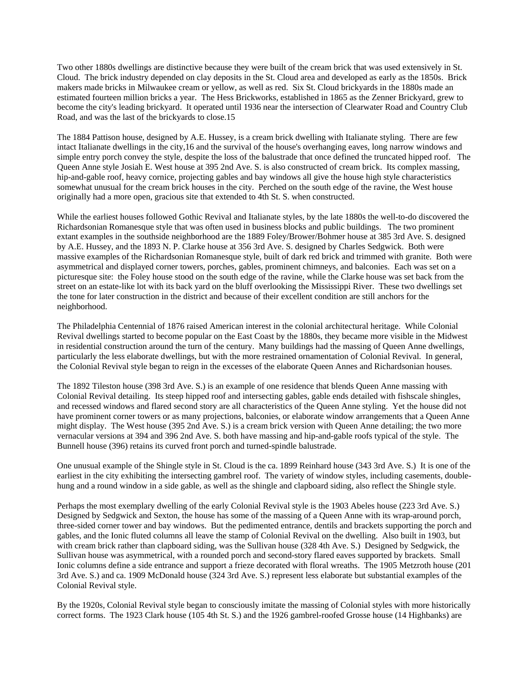Two other 1880s dwellings are distinctive because they were built of the cream brick that was used extensively in St. Cloud. The brick industry depended on clay deposits in the St. Cloud area and developed as early as the 1850s. Brick makers made bricks in Milwaukee cream or yellow, as well as red. Six St. Cloud brickyards in the 1880s made an estimated fourteen million bricks a year. The Hess Brickworks, established in 1865 as the Zenner Brickyard, grew to become the city's leading brickyard. It operated until 1936 near the intersection of Clearwater Road and Country Club Road, and was the last of the brickyards to close.15

The 1884 Pattison house, designed by A.E. Hussey, is a cream brick dwelling with Italianate styling. There are few intact Italianate dwellings in the city,16 and the survival of the house's overhanging eaves, long narrow windows and simple entry porch convey the style, despite the loss of the balustrade that once defined the truncated hipped roof. The Queen Anne style Josiah E. West house at 395 2nd Ave. S. is also constructed of cream brick. Its complex massing, hip-and-gable roof, heavy cornice, projecting gables and bay windows all give the house high style characteristics somewhat unusual for the cream brick houses in the city. Perched on the south edge of the ravine, the West house originally had a more open, gracious site that extended to 4th St. S. when constructed.

While the earliest houses followed Gothic Revival and Italianate styles, by the late 1880s the well-to-do discovered the Richardsonian Romanesque style that was often used in business blocks and public buildings. The two prominent extant examples in the southside neighborhood are the 1889 Foley/Brower/Bohmer house at 385 3rd Ave. S. designed by A.E. Hussey, and the 1893 N. P. Clarke house at 356 3rd Ave. S. designed by Charles Sedgwick. Both were massive examples of the Richardsonian Romanesque style, built of dark red brick and trimmed with granite. Both were asymmetrical and displayed corner towers, porches, gables, prominent chimneys, and balconies. Each was set on a picturesque site: the Foley house stood on the south edge of the ravine, while the Clarke house was set back from the street on an estate-like lot with its back yard on the bluff overlooking the Mississippi River. These two dwellings set the tone for later construction in the district and because of their excellent condition are still anchors for the neighborhood.

The Philadelphia Centennial of 1876 raised American interest in the colonial architectural heritage. While Colonial Revival dwellings started to become popular on the East Coast by the 1880s, they became more visible in the Midwest in residential construction around the turn of the century. Many buildings had the massing of Queen Anne dwellings, particularly the less elaborate dwellings, but with the more restrained ornamentation of Colonial Revival. In general, the Colonial Revival style began to reign in the excesses of the elaborate Queen Annes and Richardsonian houses.

The 1892 Tileston house (398 3rd Ave. S.) is an example of one residence that blends Queen Anne massing with Colonial Revival detailing. Its steep hipped roof and intersecting gables, gable ends detailed with fishscale shingles, and recessed windows and flared second story are all characteristics of the Queen Anne styling. Yet the house did not have prominent corner towers or as many projections, balconies, or elaborate window arrangements that a Queen Anne might display. The West house (395 2nd Ave. S.) is a cream brick version with Queen Anne detailing; the two more vernacular versions at 394 and 396 2nd Ave. S. both have massing and hip-and-gable roofs typical of the style. The Bunnell house (396) retains its curved front porch and turned-spindle balustrade.

One unusual example of the Shingle style in St. Cloud is the ca. 1899 Reinhard house (343 3rd Ave. S.) It is one of the earliest in the city exhibiting the intersecting gambrel roof. The variety of window styles, including casements, doublehung and a round window in a side gable, as well as the shingle and clapboard siding, also reflect the Shingle style.

Perhaps the most exemplary dwelling of the early Colonial Revival style is the 1903 Abeles house (223 3rd Ave. S.) Designed by Sedgwick and Sexton, the house has some of the massing of a Queen Anne with its wrap-around porch, three-sided corner tower and bay windows. But the pedimented entrance, dentils and brackets supporting the porch and gables, and the Ionic fluted columns all leave the stamp of Colonial Revival on the dwelling. Also built in 1903, but with cream brick rather than clapboard siding, was the Sullivan house (328 4th Ave. S.) Designed by Sedgwick, the Sullivan house was asymmetrical, with a rounded porch and second-story flared eaves supported by brackets. Small Ionic columns define a side entrance and support a frieze decorated with floral wreaths. The 1905 Metzroth house (201 3rd Ave. S.) and ca. 1909 McDonald house (324 3rd Ave. S.) represent less elaborate but substantial examples of the Colonial Revival style.

By the 1920s, Colonial Revival style began to consciously imitate the massing of Colonial styles with more historically correct forms. The 1923 Clark house (105 4th St. S.) and the 1926 gambrel-roofed Grosse house (14 Highbanks) are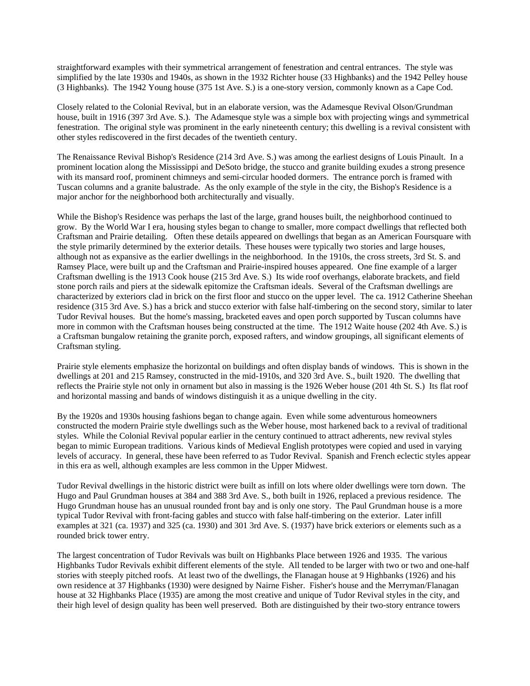straightforward examples with their symmetrical arrangement of fenestration and central entrances. The style was simplified by the late 1930s and 1940s, as shown in the 1932 Richter house (33 Highbanks) and the 1942 Pelley house (3 Highbanks). The 1942 Young house (375 1st Ave. S.) is a one-story version, commonly known as a Cape Cod.

Closely related to the Colonial Revival, but in an elaborate version, was the Adamesque Revival Olson/Grundman house, built in 1916 (397 3rd Ave. S.). The Adamesque style was a simple box with projecting wings and symmetrical fenestration. The original style was prominent in the early nineteenth century; this dwelling is a revival consistent with other styles rediscovered in the first decades of the twentieth century.

The Renaissance Revival Bishop's Residence (214 3rd Ave. S.) was among the earliest designs of Louis Pinault. In a prominent location along the Mississippi and DeSoto bridge, the stucco and granite building exudes a strong presence with its mansard roof, prominent chimneys and semi-circular hooded dormers. The entrance porch is framed with Tuscan columns and a granite balustrade. As the only example of the style in the city, the Bishop's Residence is a major anchor for the neighborhood both architecturally and visually.

While the Bishop's Residence was perhaps the last of the large, grand houses built, the neighborhood continued to grow. By the World War I era, housing styles began to change to smaller, more compact dwellings that reflected both Craftsman and Prairie detailing. Often these details appeared on dwellings that began as an American Foursquare with the style primarily determined by the exterior details. These houses were typically two stories and large houses, although not as expansive as the earlier dwellings in the neighborhood. In the 1910s, the cross streets, 3rd St. S. and Ramsey Place, were built up and the Craftsman and Prairie-inspired houses appeared. One fine example of a larger Craftsman dwelling is the 1913 Cook house (215 3rd Ave. S.) Its wide roof overhangs, elaborate brackets, and field stone porch rails and piers at the sidewalk epitomize the Craftsman ideals. Several of the Craftsman dwellings are characterized by exteriors clad in brick on the first floor and stucco on the upper level. The ca. 1912 Catherine Sheehan residence (315 3rd Ave. S.) has a brick and stucco exterior with false half-timbering on the second story, similar to later Tudor Revival houses. But the home's massing, bracketed eaves and open porch supported by Tuscan columns have more in common with the Craftsman houses being constructed at the time. The 1912 Waite house (202 4th Ave. S.) is a Craftsman bungalow retaining the granite porch, exposed rafters, and window groupings, all significant elements of Craftsman styling.

Prairie style elements emphasize the horizontal on buildings and often display bands of windows. This is shown in the dwellings at 201 and 215 Ramsey, constructed in the mid-1910s, and 320 3rd Ave. S., built 1920. The dwelling that reflects the Prairie style not only in ornament but also in massing is the 1926 Weber house (201 4th St. S.) Its flat roof and horizontal massing and bands of windows distinguish it as a unique dwelling in the city.

By the 1920s and 1930s housing fashions began to change again. Even while some adventurous homeowners constructed the modern Prairie style dwellings such as the Weber house, most harkened back to a revival of traditional styles. While the Colonial Revival popular earlier in the century continued to attract adherents, new revival styles began to mimic European traditions. Various kinds of Medieval English prototypes were copied and used in varying levels of accuracy. In general, these have been referred to as Tudor Revival. Spanish and French eclectic styles appear in this era as well, although examples are less common in the Upper Midwest.

Tudor Revival dwellings in the historic district were built as infill on lots where older dwellings were torn down. The Hugo and Paul Grundman houses at 384 and 388 3rd Ave. S., both built in 1926, replaced a previous residence. The Hugo Grundman house has an unusual rounded front bay and is only one story. The Paul Grundman house is a more typical Tudor Revival with front-facing gables and stucco with false half-timbering on the exterior. Later infill examples at 321 (ca. 1937) and 325 (ca. 1930) and 301 3rd Ave. S. (1937) have brick exteriors or elements such as a rounded brick tower entry.

The largest concentration of Tudor Revivals was built on Highbanks Place between 1926 and 1935. The various Highbanks Tudor Revivals exhibit different elements of the style. All tended to be larger with two or two and one-half stories with steeply pitched roofs. At least two of the dwellings, the Flanagan house at 9 Highbanks (1926) and his own residence at 37 Highbanks (1930) were designed by Nairne Fisher. Fisher's house and the Merryman/Flanagan house at 32 Highbanks Place (1935) are among the most creative and unique of Tudor Revival styles in the city, and their high level of design quality has been well preserved. Both are distinguished by their two-story entrance towers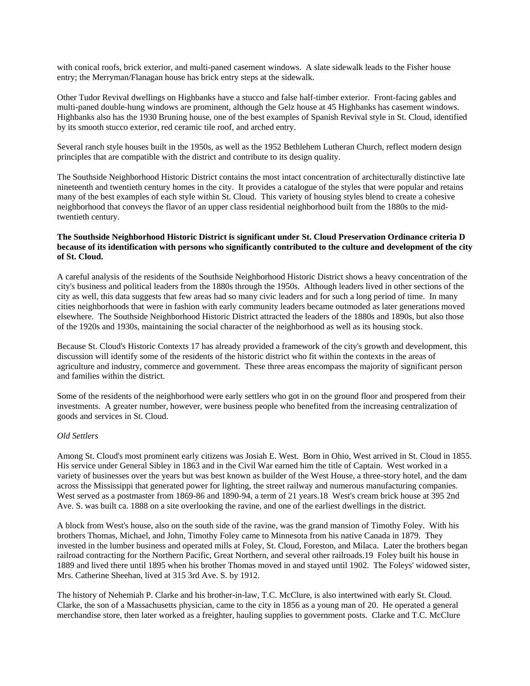with conical roofs, brick exterior, and multi-paned casement windows. A slate sidewalk leads to the Fisher house entry; the Merryman/Flanagan house has brick entry steps at the sidewalk.

Other Tudor Revival dwellings on Highbanks have a stucco and false half-timber exterior. Front-facing gables and multi-paned double-hung windows are prominent, although the Gelz house at 45 Highbanks has casement windows. Highbanks also has the 1930 Bruning house, one of the best examples of Spanish Revival style in St. Cloud, identified by its smooth stucco exterior, red ceramic tile roof, and arched entry.

Several ranch style houses built in the 1950s, as well as the 1952 Bethlehem Lutheran Church, reflect modern design principles that are compatible with the district and contribute to its design quality.

The Southside Neighborhood Historic District contains the most intact concentration of architecturally distinctive late nineteenth and twentieth century homes in the city. It provides a catalogue of the styles that were popular and retains many of the best examples of each style within St. Cloud. This variety of housing styles blend to create a cohesive neighborhood that conveys the flavor of an upper class residential neighborhood built from the 1880s to the midtwentieth century.

#### **The Southside Neighborhood Historic District is significant under St. Cloud Preservation Ordinance criteria D because of its identification with persons who significantly contributed to the culture and development of the city of St. Cloud.**

A careful analysis of the residents of the Southside Neighborhood Historic District shows a heavy concentration of the city's business and political leaders from the 1880s through the 1950s. Although leaders lived in other sections of the city as well, this data suggests that few areas had so many civic leaders and for such a long period of time. In many cities neighborhoods that were in fashion with early community leaders became outmoded as later generations moved elsewhere. The Southside Neighborhood Historic District attracted the leaders of the 1880s and 1890s, but also those of the 1920s and 1930s, maintaining the social character of the neighborhood as well as its housing stock.

Because St. Cloud's Historic Contexts 17 has already provided a framework of the city's growth and development, this discussion will identify some of the residents of the historic district who fit within the contexts in the areas of agriculture and industry, commerce and government. These three areas encompass the majority of significant person and families within the district.

Some of the residents of the neighborhood were early settlers who got in on the ground floor and prospered from their investments. A greater number, however, were business people who benefited from the increasing centralization of goods and services in St. Cloud.

#### *Old Settlers*

Among St. Cloud's most prominent early citizens was Josiah E. West. Born in Ohio, West arrived in St. Cloud in 1855. His service under General Sibley in 1863 and in the Civil War earned him the title of Captain. West worked in a variety of businesses over the years but was best known as builder of the West House, a three-story hotel, and the dam across the Mississippi that generated power for lighting, the street railway and numerous manufacturing companies. West served as a postmaster from 1869-86 and 1890-94, a term of 21 years.18 West's cream brick house at 395 2nd Ave. S. was built ca. 1888 on a site overlooking the ravine, and one of the earliest dwellings in the district.

A block from West's house, also on the south side of the ravine, was the grand mansion of Timothy Foley. With his brothers Thomas, Michael, and John, Timothy Foley came to Minnesota from his native Canada in 1879. They invested in the lumber business and operated mills at Foley, St. Cloud, Foreston, and Milaca. Later the brothers began railroad contracting for the Northern Pacific, Great Northern, and several other railroads.19 Foley built his house in 1889 and lived there until 1895 when his brother Thomas moved in and stayed until 1902. The Foleys' widowed sister, Mrs. Catherine Sheehan, lived at 315 3rd Ave. S. by 1912.

The history of Nehemiah P. Clarke and his brother-in-law, T.C. McClure, is also intertwined with early St. Cloud. Clarke, the son of a Massachusetts physician, came to the city in 1856 as a young man of 20. He operated a general merchandise store, then later worked as a freighter, hauling supplies to government posts. Clarke and T.C. McClure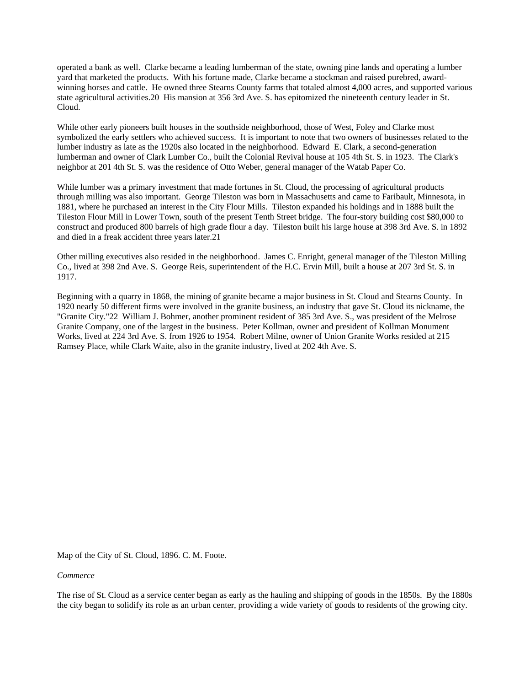operated a bank as well. Clarke became a leading lumberman of the state, owning pine lands and operating a lumber yard that marketed the products. With his fortune made, Clarke became a stockman and raised purebred, awardwinning horses and cattle. He owned three Stearns County farms that totaled almost 4,000 acres, and supported various state agricultural activities.20 His mansion at 356 3rd Ave. S. has epitomized the nineteenth century leader in St. Cloud.

While other early pioneers built houses in the southside neighborhood, those of West, Foley and Clarke most symbolized the early settlers who achieved success. It is important to note that two owners of businesses related to the lumber industry as late as the 1920s also located in the neighborhood. Edward E. Clark, a second-generation lumberman and owner of Clark Lumber Co., built the Colonial Revival house at 105 4th St. S. in 1923. The Clark's neighbor at 201 4th St. S. was the residence of Otto Weber, general manager of the Watab Paper Co.

While lumber was a primary investment that made fortunes in St. Cloud, the processing of agricultural products through milling was also important. George Tileston was born in Massachusetts and came to Faribault, Minnesota, in 1881, where he purchased an interest in the City Flour Mills. Tileston expanded his holdings and in 1888 built the Tileston Flour Mill in Lower Town, south of the present Tenth Street bridge. The four-story building cost \$80,000 to construct and produced 800 barrels of high grade flour a day. Tileston built his large house at 398 3rd Ave. S. in 1892 and died in a freak accident three years later.21

Other milling executives also resided in the neighborhood. James C. Enright, general manager of the Tileston Milling Co., lived at 398 2nd Ave. S. George Reis, superintendent of the H.C. Ervin Mill, built a house at 207 3rd St. S. in 1917.

Beginning with a quarry in 1868, the mining of granite became a major business in St. Cloud and Stearns County. In 1920 nearly 50 different firms were involved in the granite business, an industry that gave St. Cloud its nickname, the "Granite City."22 William J. Bohmer, another prominent resident of 385 3rd Ave. S., was president of the Melrose Granite Company, one of the largest in the business. Peter Kollman, owner and president of Kollman Monument Works, lived at 224 3rd Ave. S. from 1926 to 1954. Robert Milne, owner of Union Granite Works resided at 215 Ramsey Place, while Clark Waite, also in the granite industry, lived at 202 4th Ave. S.

Map of the City of St. Cloud, 1896. C. M. Foote.

*Commerce* 

The rise of St. Cloud as a service center began as early as the hauling and shipping of goods in the 1850s. By the 1880s the city began to solidify its role as an urban center, providing a wide variety of goods to residents of the growing city.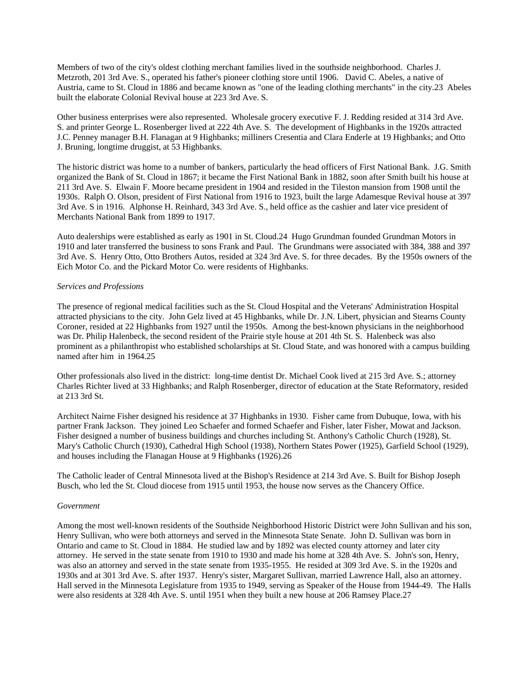Members of two of the city's oldest clothing merchant families lived in the southside neighborhood. Charles J. Metzroth, 201 3rd Ave. S., operated his father's pioneer clothing store until 1906. David C. Abeles, a native of Austria, came to St. Cloud in 1886 and became known as "one of the leading clothing merchants" in the city.23 Abeles built the elaborate Colonial Revival house at 223 3rd Ave. S.

Other business enterprises were also represented. Wholesale grocery executive F. J. Redding resided at 314 3rd Ave. S. and printer George L. Rosenberger lived at 222 4th Ave. S. The development of Highbanks in the 1920s attracted J.C. Penney manager B.H. Flanagan at 9 Highbanks; milliners Cresentia and Clara Enderle at 19 Highbanks; and Otto J. Bruning, longtime druggist, at 53 Highbanks.

The historic district was home to a number of bankers, particularly the head officers of First National Bank. J.G. Smith organized the Bank of St. Cloud in 1867; it became the First National Bank in 1882, soon after Smith built his house at 211 3rd Ave. S. Elwain F. Moore became president in 1904 and resided in the Tileston mansion from 1908 until the 1930s. Ralph O. Olson, president of First National from 1916 to 1923, built the large Adamesque Revival house at 397 3rd Ave. S in 1916. Alphonse H. Reinhard, 343 3rd Ave. S., held office as the cashier and later vice president of Merchants National Bank from 1899 to 1917.

Auto dealerships were established as early as 1901 in St. Cloud.24 Hugo Grundman founded Grundman Motors in 1910 and later transferred the business to sons Frank and Paul. The Grundmans were associated with 384, 388 and 397 3rd Ave. S. Henry Otto, Otto Brothers Autos, resided at 324 3rd Ave. S. for three decades. By the 1950s owners of the Eich Motor Co. and the Pickard Motor Co. were residents of Highbanks.

#### *Services and Professions*

The presence of regional medical facilities such as the St. Cloud Hospital and the Veterans' Administration Hospital attracted physicians to the city. John Gelz lived at 45 Highbanks, while Dr. J.N. Libert, physician and Stearns County Coroner, resided at 22 Highbanks from 1927 until the 1950s. Among the best-known physicians in the neighborhood was Dr. Philip Halenbeck, the second resident of the Prairie style house at 201 4th St. S. Halenbeck was also prominent as a philanthropist who established scholarships at St. Cloud State, and was honored with a campus building named after him in 1964.25

Other professionals also lived in the district: long-time dentist Dr. Michael Cook lived at 215 3rd Ave. S.; attorney Charles Richter lived at 33 Highbanks; and Ralph Rosenberger, director of education at the State Reformatory, resided at 213 3rd St.

Architect Nairne Fisher designed his residence at 37 Highbanks in 1930. Fisher came from Dubuque, Iowa, with his partner Frank Jackson. They joined Leo Schaefer and formed Schaefer and Fisher, later Fisher, Mowat and Jackson. Fisher designed a number of business buildings and churches including St. Anthony's Catholic Church (1928), St. Mary's Catholic Church (1930), Cathedral High School (1938), Northern States Power (1925), Garfield School (1929), and houses including the Flanagan House at 9 Highbanks (1926).26

The Catholic leader of Central Minnesota lived at the Bishop's Residence at 214 3rd Ave. S. Built for Bishop Joseph Busch, who led the St. Cloud diocese from 1915 until 1953, the house now serves as the Chancery Office.

#### *Government*

Among the most well-known residents of the Southside Neighborhood Historic District were John Sullivan and his son, Henry Sullivan, who were both attorneys and served in the Minnesota State Senate. John D. Sullivan was born in Ontario and came to St. Cloud in 1884. He studied law and by 1892 was elected county attorney and later city attorney. He served in the state senate from 1910 to 1930 and made his home at 328 4th Ave. S. John's son, Henry, was also an attorney and served in the state senate from 1935-1955. He resided at 309 3rd Ave. S. in the 1920s and 1930s and at 301 3rd Ave. S. after 1937. Henry's sister, Margaret Sullivan, married Lawrence Hall, also an attorney. Hall served in the Minnesota Legislature from 1935 to 1949, serving as Speaker of the House from 1944-49. The Halls were also residents at 328 4th Ave. S. until 1951 when they built a new house at 206 Ramsey Place.27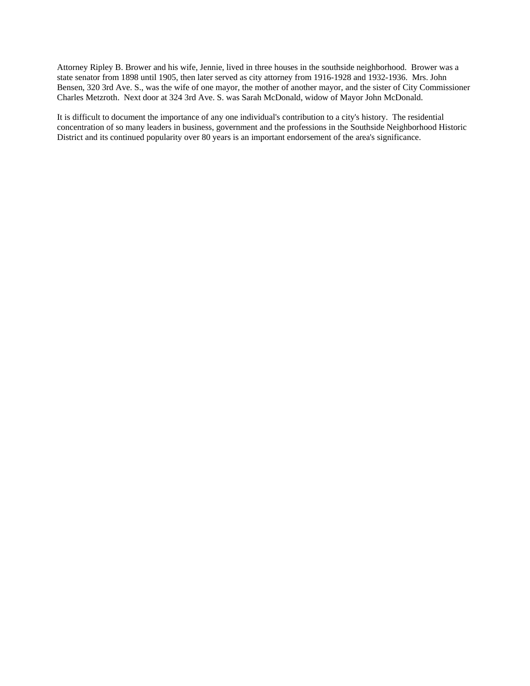Attorney Ripley B. Brower and his wife, Jennie, lived in three houses in the southside neighborhood. Brower was a state senator from 1898 until 1905, then later served as city attorney from 1916-1928 and 1932-1936. Mrs. John Bensen, 320 3rd Ave. S., was the wife of one mayor, the mother of another mayor, and the sister of City Commissioner Charles Metzroth. Next door at 324 3rd Ave. S. was Sarah McDonald, widow of Mayor John McDonald.

It is difficult to document the importance of any one individual's contribution to a city's history. The residential concentration of so many leaders in business, government and the professions in the Southside Neighborhood Historic District and its continued popularity over 80 years is an important endorsement of the area's significance.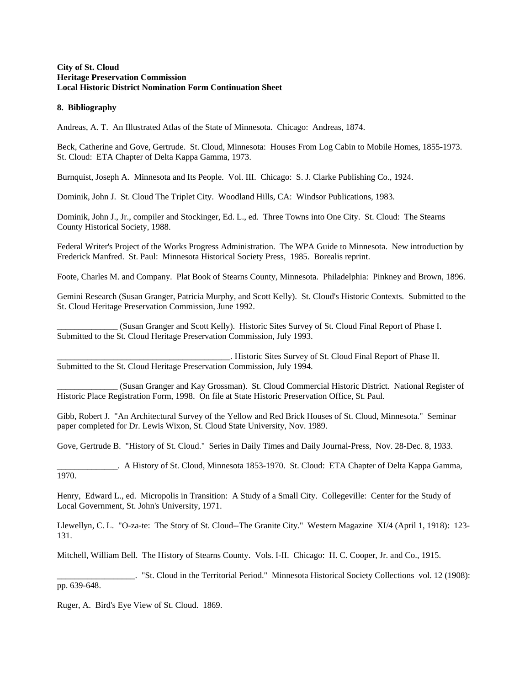#### **City of St. Cloud Heritage Preservation Commission Local Historic District Nomination Form Continuation Sheet**

#### **8. Bibliography**

Andreas, A. T. An Illustrated Atlas of the State of Minnesota. Chicago: Andreas, 1874.

Beck, Catherine and Gove, Gertrude. St. Cloud, Minnesota: Houses From Log Cabin to Mobile Homes, 1855-1973. St. Cloud: ETA Chapter of Delta Kappa Gamma, 1973.

Burnquist, Joseph A. Minnesota and Its People. Vol. III. Chicago: S. J. Clarke Publishing Co., 1924.

Dominik, John J. St. Cloud The Triplet City. Woodland Hills, CA: Windsor Publications, 1983.

Dominik, John J., Jr., compiler and Stockinger, Ed. L., ed. Three Towns into One City. St. Cloud: The Stearns County Historical Society, 1988.

Federal Writer's Project of the Works Progress Administration. The WPA Guide to Minnesota. New introduction by Frederick Manfred. St. Paul: Minnesota Historical Society Press, 1985. Borealis reprint.

Foote, Charles M. and Company. Plat Book of Stearns County, Minnesota. Philadelphia: Pinkney and Brown, 1896.

Gemini Research (Susan Granger, Patricia Murphy, and Scott Kelly). St. Cloud's Historic Contexts. Submitted to the St. Cloud Heritage Preservation Commission, June 1992.

\_\_\_\_\_\_\_\_\_\_\_\_\_\_ (Susan Granger and Scott Kelly). Historic Sites Survey of St. Cloud Final Report of Phase I. Submitted to the St. Cloud Heritage Preservation Commission, July 1993.

\_\_\_\_\_\_\_\_\_\_\_\_\_\_\_\_\_\_\_\_\_\_\_\_\_\_\_\_\_\_\_\_\_\_\_\_\_\_\_\_. Historic Sites Survey of St. Cloud Final Report of Phase II. Submitted to the St. Cloud Heritage Preservation Commission, July 1994.

\_\_\_\_\_\_\_\_\_\_\_\_\_\_ (Susan Granger and Kay Grossman). St. Cloud Commercial Historic District. National Register of Historic Place Registration Form, 1998. On file at State Historic Preservation Office, St. Paul.

Gibb, Robert J. "An Architectural Survey of the Yellow and Red Brick Houses of St. Cloud, Minnesota." Seminar paper completed for Dr. Lewis Wixon, St. Cloud State University, Nov. 1989.

Gove, Gertrude B. "History of St. Cloud." Series in Daily Times and Daily Journal-Press, Nov. 28-Dec. 8, 1933.

\_\_\_\_\_\_\_\_\_\_\_\_\_\_. A History of St. Cloud, Minnesota 1853-1970. St. Cloud: ETA Chapter of Delta Kappa Gamma, 1970.

Henry, Edward L., ed. Micropolis in Transition: A Study of a Small City. Collegeville: Center for the Study of Local Government, St. John's University, 1971.

Llewellyn, C. L. "O-za-te: The Story of St. Cloud--The Granite City." Western Magazine XI/4 (April 1, 1918): 123- 131.

Mitchell, William Bell. The History of Stearns County. Vols. I-II. Chicago: H. C. Cooper, Jr. and Co., 1915.

\_\_\_\_\_\_\_\_\_\_\_\_\_\_\_\_\_\_. "St. Cloud in the Territorial Period." Minnesota Historical Society Collections vol. 12 (1908): pp. 639-648.

Ruger, A. Bird's Eye View of St. Cloud. 1869.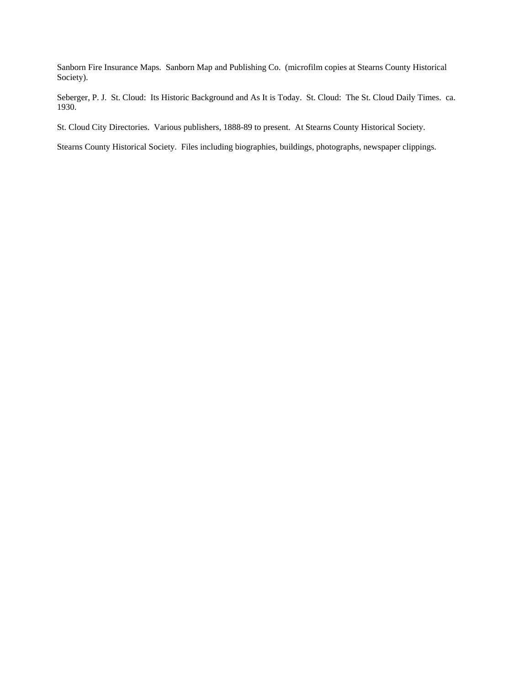Sanborn Fire Insurance Maps. Sanborn Map and Publishing Co. (microfilm copies at Stearns County Historical Society).

Seberger, P. J. St. Cloud: Its Historic Background and As It is Today. St. Cloud: The St. Cloud Daily Times. ca. 1930.

St. Cloud City Directories. Various publishers, 1888-89 to present. At Stearns County Historical Society.

Stearns County Historical Society. Files including biographies, buildings, photographs, newspaper clippings.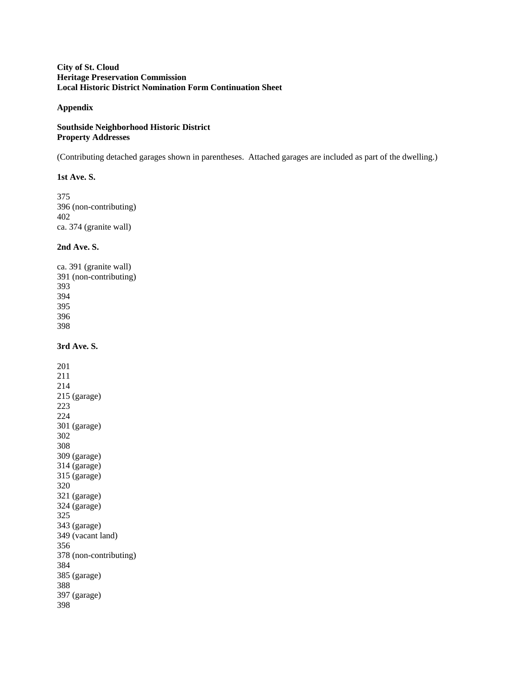### **City of St. Cloud Heritage Preservation Commission Local Historic District Nomination Form Continuation Sheet**

### **Appendix**

### **Southside Neighborhood Historic District Property Addresses**

(Contributing detached garages shown in parentheses. Attached garages are included as part of the dwelling.)

### **1st Ave. S.**

375 396 (non-contributing) 402 ca. 374 (granite wall)

### **2nd Ave. S.**

ca. 391 (granite wall) 391 (non-contributing) 393 394 395 396 398

**3rd Ave. S.**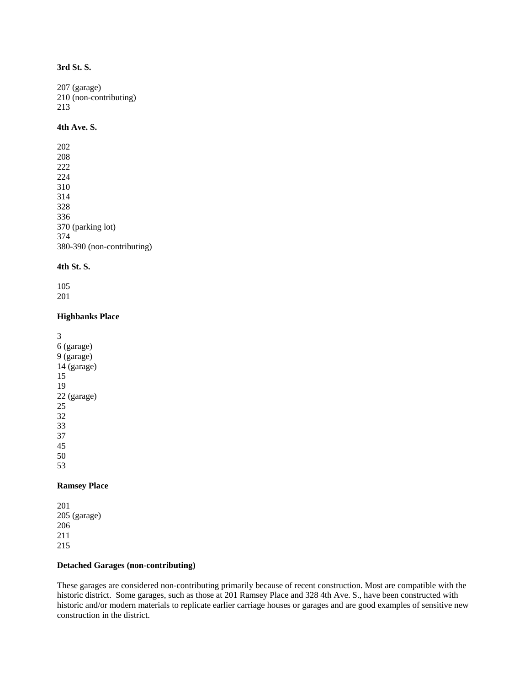## **3rd St. S.**

207 (garage) 210 (non-contributing) 213

### **4th Ave. S.**

### **4th St. S.**

105 201

#### **Highbanks Place**

### **Ramsey Place**

### **Detached Garages (non-contributing)**

These garages are considered non-contributing primarily because of recent construction. Most are compatible with the historic district. Some garages, such as those at 201 Ramsey Place and 328 4th Ave. S., have been constructed with historic and/or modern materials to replicate earlier carriage houses or garages and are good examples of sensitive new construction in the district.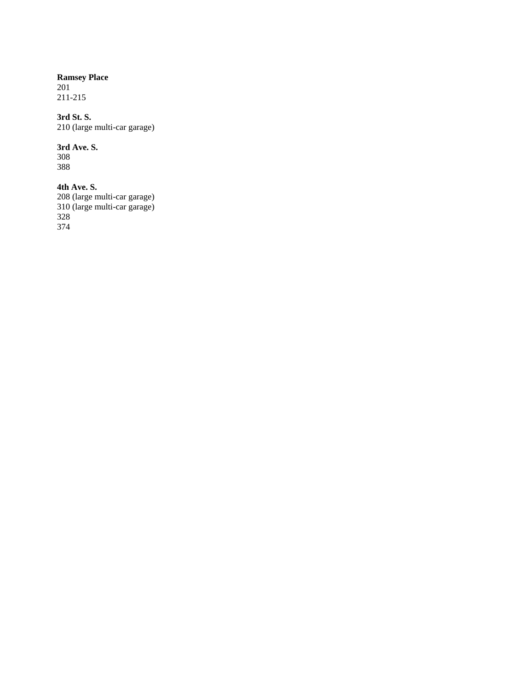# **Ramsey Place**

201 211-215

## **3rd St. S.**

210 (large multi-car garage)

## **3rd Ave. S.**

308 388

## **4th Ave. S.**

208 (large multi-car garage) 310 (large multi-car garage) 328 374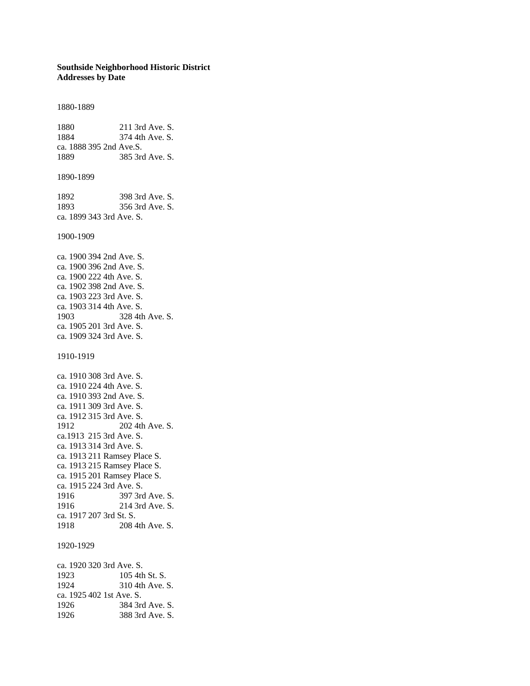### **Southside Neighborhood Historic District Addresses by Date**

1880-1889 1880 211 3rd Ave. S. 1884 374 4th Ave. S. ca. 1888 395 2nd Ave.S. 1889 385 3rd Ave. S. 1890-1899 1892 398 3rd Ave. S. 1893 356 3rd Ave. S. ca. 1899 343 3rd Ave. S. 1900-1909 ca. 1900 394 2nd Ave. S. ca. 1900 396 2nd Ave. S. ca. 1900 222 4th Ave. S. ca. 1902 398 2nd Ave. S. ca. 1903 223 3rd Ave. S. ca. 1903 314 4th Ave. S. 1903 328 4th Ave. S. ca. 1905 201 3rd Ave. S. ca. 1909 324 3rd Ave. S. 1910-1919 ca. 1910 308 3rd Ave. S. ca. 1910 224 4th Ave. S. ca. 1910 393 2nd Ave. S. ca. 1911 309 3rd Ave. S. ca. 1912 315 3rd Ave. S. 1912 202 4th Ave. S. ca.1913 215 3rd Ave. S. ca. 1913 314 3rd Ave. S. ca. 1913 211 Ramsey Place S. ca. 1913 215 Ramsey Place S. ca. 1915 201 Ramsey Place S. ca. 1915 224 3rd Ave. S. 1916 397 3rd Ave. S. 1916 214 3rd Ave. S. ca. 1917 207 3rd St. S. 1918 208 4th Ave. S. 1920-1929 ca. 1920 320 3rd Ave. S. 1923 105 4th St. S. 1924 310 4th Ave. S. ca. 1925 402 1st Ave. S. 1926 384 3rd Ave. S.

1926 388 3rd Ave. S.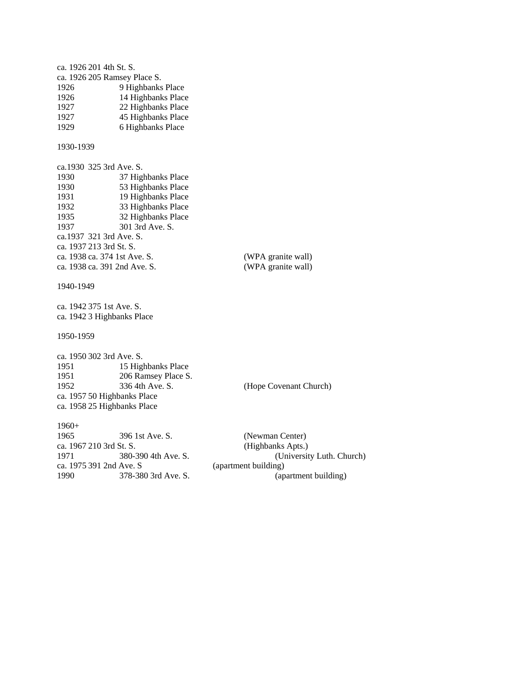ca. 1926 201 4th St. S. ca. 1926 205 Ramsey Place S. 1926 9 Highbanks Place 1926 14 Highbanks Place 1927 22 Highbanks Place 1927 45 Highbanks Place 1929 6 Highbanks Place 1930-1939 ca.1930 325 3rd Ave. S. 1930 37 Highbanks Place<br>1930 53 Highbanks Place 53 Highbanks Place 1931 19 Highbanks Place 1932 33 Highbanks Place 1935 32 Highbanks Place 1937 301 3rd Ave. S. ca.1937 321 3rd Ave. S. ca. 1937 213 3rd St. S. ca. 1938 ca. 374 1st Ave. S. (WPA granite wall)<br>ca. 1938 ca. 391 2nd Ave. S. (WPA granite wall) ca. 1938 ca. 391 2nd Ave. S. 1940-1949 ca. 1942 375 1st Ave. S. ca. 1942 3 Highbanks Place 1950-1959 ca. 1950 302 3rd Ave. S. 1951 15 Highbanks Place 1951 206 Ramsey Place S.<br>1952 336 4th Ave. S. 1952 336 4th Ave. S. (Hope Covenant Church) ca. 1957 50 Highbanks Place ca. 1958 25 Highbanks Place 1960+ 1965 396 1st Ave. S. (Newman Center) ca. 1967 210 3rd St. S. (Highbanks Apts.) 1971 380-390 4th Ave. S. (University Luth. Church) ca. 1975 391 2nd Ave. S (apartment building) 1990 378-380 3rd Ave. S. (apartment building)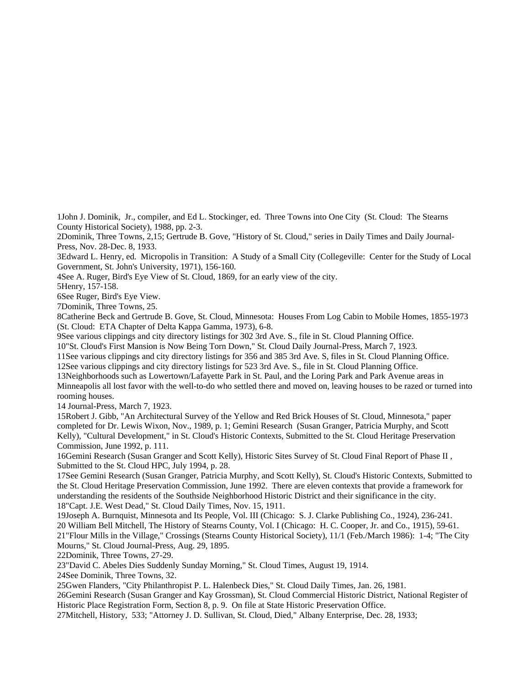1John J. Dominik, Jr., compiler, and Ed L. Stockinger, ed. Three Towns into One City (St. Cloud: The Stearns County Historical Society), 1988, pp. 2-3.

2Dominik, Three Towns, 2,15; Gertrude B. Gove, "History of St. Cloud," series in Daily Times and Daily Journal-Press, Nov. 28-Dec. 8, 1933.

3Edward L. Henry, ed. Micropolis in Transition: A Study of a Small City (Collegeville: Center for the Study of Local Government, St. John's University, 1971), 156-160.

4See A. Ruger, Bird's Eye View of St. Cloud, 1869, for an early view of the city.

5Henry, 157-158.

6See Ruger, Bird's Eye View.

7Dominik, Three Towns, 25.

8Catherine Beck and Gertrude B. Gove, St. Cloud, Minnesota: Houses From Log Cabin to Mobile Homes, 1855-1973 (St. Cloud: ETA Chapter of Delta Kappa Gamma, 1973), 6-8.

9See various clippings and city directory listings for 302 3rd Ave. S., file in St. Cloud Planning Office.

10"St. Cloud's First Mansion is Now Being Torn Down," St. Cloud Daily Journal-Press, March 7, 1923.

11See various clippings and city directory listings for 356 and 385 3rd Ave. S, files in St. Cloud Planning Office.

12See various clippings and city directory listings for 523 3rd Ave. S., file in St. Cloud Planning Office.

13Neighborhoods such as Lowertown/Lafayette Park in St. Paul, and the Loring Park and Park Avenue areas in Minneapolis all lost favor with the well-to-do who settled there and moved on, leaving houses to be razed or turned into rooming houses.

14 Journal-Press, March 7, 1923.

15Robert J. Gibb, "An Architectural Survey of the Yellow and Red Brick Houses of St. Cloud, Minnesota," paper completed for Dr. Lewis Wixon, Nov., 1989, p. 1; Gemini Research (Susan Granger, Patricia Murphy, and Scott Kelly), "Cultural Development," in St. Cloud's Historic Contexts, Submitted to the St. Cloud Heritage Preservation Commission, June 1992, p. 111.

16Gemini Research (Susan Granger and Scott Kelly), Historic Sites Survey of St. Cloud Final Report of Phase II , Submitted to the St. Cloud HPC, July 1994, p. 28.

17See Gemini Research (Susan Granger, Patricia Murphy, and Scott Kelly), St. Cloud's Historic Contexts, Submitted to the St. Cloud Heritage Preservation Commission, June 1992. There are eleven contexts that provide a framework for understanding the residents of the Southside Neighborhood Historic District and their significance in the city. 18"Capt. J.E. West Dead," St. Cloud Daily Times, Nov. 15, 1911.

19Joseph A. Burnquist, Minnesota and Its People, Vol. III (Chicago: S. J. Clarke Publishing Co., 1924), 236-241. 20 William Bell Mitchell, The History of Stearns County, Vol. I (Chicago: H. C. Cooper, Jr. and Co., 1915), 59-61. 21"Flour Mills in the Village," Crossings (Stearns County Historical Society), 11/1 (Feb./March 1986): 1-4; "The City Mourns," St. Cloud Journal-Press, Aug. 29, 1895.

22Dominik, Three Towns, 27-29.

23"David C. Abeles Dies Suddenly Sunday Morning," St. Cloud Times, August 19, 1914.

24See Dominik, Three Towns, 32.

25Gwen Flanders, "City Philanthropist P. L. Halenbeck Dies," St. Cloud Daily Times, Jan. 26, 1981.

26Gemini Research (Susan Granger and Kay Grossman), St. Cloud Commercial Historic District, National Register of Historic Place Registration Form, Section 8, p. 9. On file at State Historic Preservation Office.

27Mitchell, History, 533; "Attorney J. D. Sullivan, St. Cloud, Died," Albany Enterprise, Dec. 28, 1933;